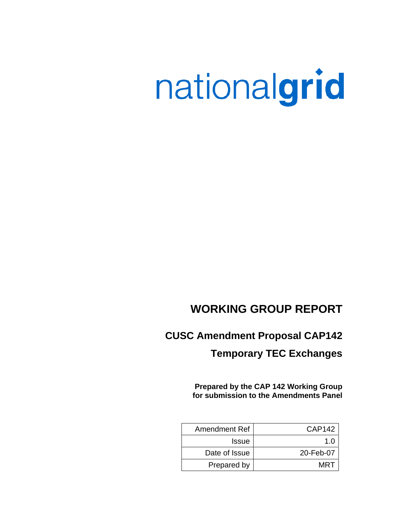# nationalgrid

# **WORKING GROUP REPORT**

# **CUSC Amendment Proposal CAP142**

# **Temporary TEC Exchanges**

**Prepared by the CAP 142 Working Group for submission to the Amendments Panel**

| Amendment Ref | CAP142    |
|---------------|-----------|
| <b>Issue</b>  | 1 በ       |
| Date of Issue | 20-Feb-07 |
| Prepared by   | MRT       |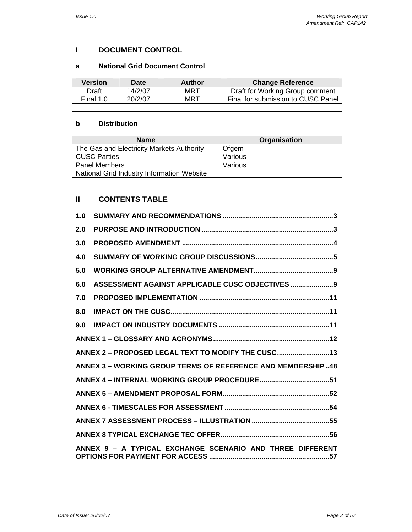# **I DOCUMENT CONTROL**

#### **a National Grid Document Control**

| <b>Version</b> | <b>Date</b> | <b>Author</b> | <b>Change Reference</b>            |
|----------------|-------------|---------------|------------------------------------|
| Draft          | 14/2/07     | MRT           | Draft for Working Group comment    |
| Final 1.0      | 20/2/07     | MRT           | Final for submission to CUSC Panel |
|                |             |               |                                    |

#### **b Distribution**

| <b>Name</b>                                | Organisation |
|--------------------------------------------|--------------|
| The Gas and Electricity Markets Authority  | Ofgem        |
| <b>CUSC Parties</b>                        | Various      |
| <b>Panel Members</b>                       | Various      |
| National Grid Industry Information Website |              |

# **II CONTENTS TABLE**

| 1.0 |                                                             |
|-----|-------------------------------------------------------------|
| 2.0 |                                                             |
| 3.0 |                                                             |
| 4.0 |                                                             |
| 5.0 |                                                             |
| 6.0 | ASSESSMENT AGAINST APPLICABLE CUSC OBJECTIVES  9            |
| 7.0 |                                                             |
| 8.0 |                                                             |
| 9.0 |                                                             |
|     |                                                             |
|     | ANNEX 2 - PROPOSED LEGAL TEXT TO MODIFY THE CUSC            |
|     | ANNEX 3 – WORKING GROUP TERMS OF REFERENCE AND MEMBERSHIP48 |
|     |                                                             |
|     |                                                             |
|     |                                                             |
|     |                                                             |
|     |                                                             |
|     | ANNEX 9 - A TYPICAL EXCHANGE SCENARIO AND THREE DIFFERENT   |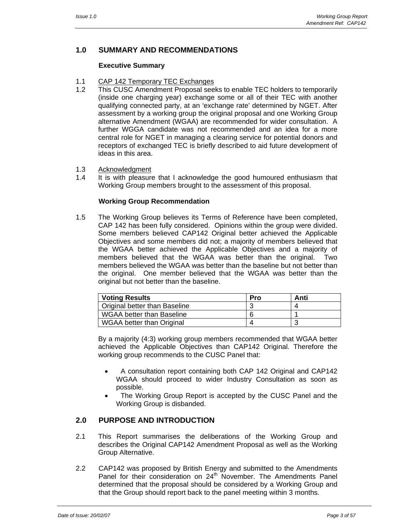# **1.0 SUMMARY AND RECOMMENDATIONS**

#### **Executive Summary**

- 1.1 CAP 142 Temporary TEC Exchanges
- 1.2 This CUSC Amendment Proposal seeks to enable TEC holders to temporarily (inside one charging year) exchange some or all of their TEC with another qualifying connected party, at an 'exchange rate' determined by NGET. After assessment by a working group the original proposal and one Working Group alternative Amendment (WGAA) are recommended for wider consultation. A further WGGA candidate was not recommended and an idea for a more central role for NGET in managing a clearing service for potential donors and receptors of exchanged TEC is briefly described to aid future development of ideas in this area.
- 1.3 Acknowledgment
- 1.4 It is with pleasure that I acknowledge the good humoured enthusiasm that Working Group members brought to the assessment of this proposal.

#### **Working Group Recommendation**

1.5 The Working Group believes its Terms of Reference have been completed, CAP 142 has been fully considered. Opinions within the group were divided. Some members believed CAP142 Original better achieved the Applicable Objectives and some members did not; a majority of members believed that the WGAA better achieved the Applicable Objectives and a majority of members believed that the WGAA was better than the original. Two members believed the WGAA was better than the baseline but not better than the original. One member believed that the WGAA was better than the original but not better than the baseline.

| <b>Voting Results</b>            | Pro | Anti |
|----------------------------------|-----|------|
| Original better than Baseline    |     |      |
| <b>WGAA better than Baseline</b> |     |      |
| WGAA better than Original        |     |      |

By a majority (4:3) working group members recommended that WGAA better achieved the Applicable Objectives than CAP142 Original. Therefore the working group recommends to the CUSC Panel that:

- A consultation report containing both CAP 142 Original and CAP142 WGAA should proceed to wider Industry Consultation as soon as possible.
- The Working Group Report is accepted by the CUSC Panel and the Working Group is disbanded.

#### **2.0 PURPOSE AND INTRODUCTION**

- 2.1 This Report summarises the deliberations of the Working Group and describes the Original CAP142 Amendment Proposal as well as the Working Group Alternative.
- 2.2 CAP142 was proposed by British Energy and submitted to the Amendments Panel for their consideration on 24<sup>th</sup> November. The Amendments Panel determined that the proposal should be considered by a Working Group and that the Group should report back to the panel meeting within 3 months.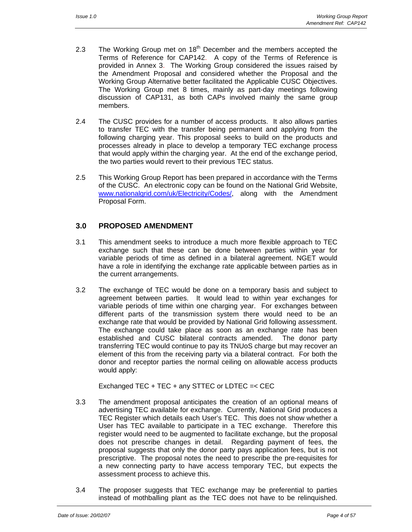- 2.3 The Working Group met on  $18<sup>th</sup>$  December and the members accepted the Terms of Reference for CAP142. A copy of the Terms of Reference is provided in Annex 3. The Working Group considered the issues raised by the Amendment Proposal and considered whether the Proposal and the Working Group Alternative better facilitated the Applicable CUSC Objectives. The Working Group met 8 times, mainly as part-day meetings following discussion of CAP131, as both CAPs involved mainly the same group members.
- 2.4 The CUSC provides for a number of access products. It also allows parties to transfer TEC with the transfer being permanent and applying from the following charging year. This proposal seeks to build on the products and processes already in place to develop a temporary TEC exchange process that would apply within the charging year. At the end of the exchange period, the two parties would revert to their previous TEC status.
- 2.5 This Working Group Report has been prepared in accordance with the Terms of the CUSC. An electronic copy can be found on the National Grid Website, www.nationalgrid.com/uk/Electricity/Codes/, along with the Amendment Proposal Form.

# **3.0 PROPOSED AMENDMENT**

- 3.1 This amendment seeks to introduce a much more flexible approach to TEC exchange such that these can be done between parties within year for variable periods of time as defined in a bilateral agreement. NGET would have a role in identifying the exchange rate applicable between parties as in the current arrangements.
- 3.2 The exchange of TEC would be done on a temporary basis and subject to agreement between parties. It would lead to within year exchanges for variable periods of time within one charging year. For exchanges between different parts of the transmission system there would need to be an exchange rate that would be provided by National Grid following assessment. The exchange could take place as soon as an exchange rate has been established and CUSC bilateral contracts amended. The donor party transferring TEC would continue to pay its TNUoS charge but may recover an element of this from the receiving party via a bilateral contract. For both the donor and receptor parties the normal ceiling on allowable access products would apply:

Exchanged TEC + TEC + any STTEC or LDTEC =< CEC

- 3.3 The amendment proposal anticipates the creation of an optional means of advertising TEC available for exchange. Currently, National Grid produces a TEC Register which details each User's TEC. This does not show whether a User has TEC available to participate in a TEC exchange. Therefore this register would need to be augmented to facilitate exchange, but the proposal does not prescribe changes in detail. Regarding payment of fees, the proposal suggests that only the donor party pays application fees, but is not prescriptive. The proposal notes the need to prescribe the pre-requisites for a new connecting party to have access temporary TEC, but expects the assessment process to achieve this.
- 3.4 The proposer suggests that TEC exchange may be preferential to parties instead of mothballing plant as the TEC does not have to be relinquished.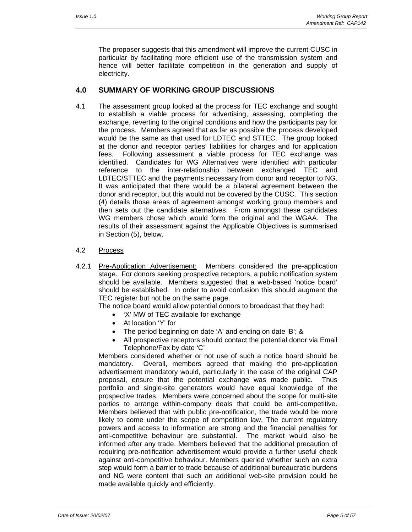The proposer suggests that this amendment will improve the current CUSC in particular by facilitating more efficient use of the transmission system and hence will better facilitate competition in the generation and supply of electricity.

#### **4.0 SUMMARY OF WORKING GROUP DISCUSSIONS**

4.1 The assessment group looked at the process for TEC exchange and sought to establish a viable process for advertising, assessing, completing the exchange, reverting to the original conditions and how the participants pay for the process. Members agreed that as far as possible the process developed would be the same as that used for LDTEC and STTEC. The group looked at the donor and receptor parties' liabilities for charges and for application fees. Following assessment a viable process for TEC exchange was identified. Candidates for WG Alternatives were identified with particular reference to the inter-relationship between exchanged TEC and LDTEC/STTEC and the payments necessary from donor and receptor to NG. It was anticipated that there would be a bilateral agreement between the donor and receptor, but this would not be covered by the CUSC. This section (4) details those areas of agreement amongst working group members and then sets out the candidate alternatives. From amongst these candidates WG members chose which would form the original and the WGAA. The results of their assessment against the Applicable Objectives is summarised in Section (5), below.

#### 4.2 Process

4.2.1 Pre-Application Advertisement: Members considered the pre-application stage. For donors seeking prospective receptors, a public notification system should be available. Members suggested that a web-based 'notice board' should be established. In order to avoid confusion this should augment the TEC register but not be on the same page.

The notice board would allow potential donors to broadcast that they had:

- 'X' MW of TEC available for exchange
- At location 'Y' for
- The period beginning on date 'A' and ending on date 'B'; &
- All prospective receptors should contact the potential donor via Email Telephone/Fax by date 'C'

Members considered whether or not use of such a notice board should be mandatory. Overall, members agreed that making the pre-application advertisement mandatory would, particularly in the case of the original CAP proposal, ensure that the potential exchange was made public. Thus portfolio and single-site generators would have equal knowledge of the prospective trades. Members were concerned about the scope for multi-site parties to arrange within-company deals that could be anti-competitive. Members believed that with public pre-notification, the trade would be more likely to come under the scope of competition law. The current regulatory powers and access to information are strong and the financial penalties for anti-competitive behaviour are substantial. The market would also be informed after any trade. Members believed that the additional precaution of requiring pre-notification advertisement would provide a further useful check against anti-competitive behaviour. Members queried whether such an extra step would form a barrier to trade because of additional bureaucratic burdens and NG were content that such an additional web-site provision could be made available quickly and efficiently.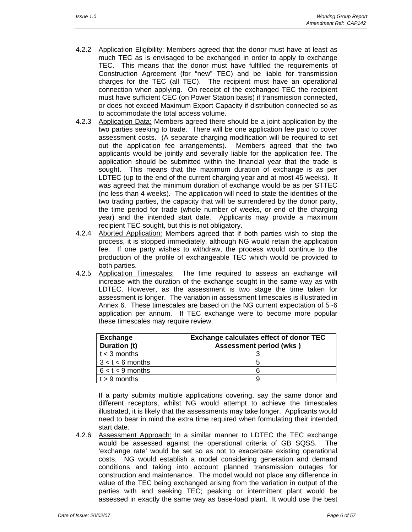- 4.2.2 Application Eligibility: Members agreed that the donor must have at least as much TEC as is envisaged to be exchanged in order to apply to exchange TEC. This means that the donor must have fulfilled the requirements of Construction Agreement (for "new" TEC) and be liable for transmission charges for the TEC (all TEC). The recipient must have an operational connection when applying. On receipt of the exchanged TEC the recipient must have sufficient CEC (on Power Station basis) if transmission connected, or does not exceed Maximum Export Capacity if distribution connected so as to accommodate the total access volume.
- 4.2.3 Application Data: Members agreed there should be a joint application by the two parties seeking to trade. There will be one application fee paid to cover assessment costs. (A separate charging modification will be required to set out the application fee arrangements). Members agreed that the two applicants would be jointly and severally liable for the application fee. The application should be submitted within the financial year that the trade is sought. This means that the maximum duration of exchange is as per LDTEC (up to the end of the current charging year and at most 45 weeks). It was agreed that the minimum duration of exchange would be as per STTEC (no less than 4 weeks). The application will need to state the identities of the two trading parties, the capacity that will be surrendered by the donor party, the time period for trade (whole number of weeks, or end of the charging year) and the intended start date. Applicants may provide a maximum recipient TEC sought, but this is not obligatory.
- 4.2.4 Aborted Application: Members agreed that if both parties wish to stop the process, it is stopped immediately, although NG would retain the application fee. If one party wishes to withdraw, the process would continue to the production of the profile of exchangeable TEC which would be provided to both parties.
- 4.2.5 Application Timescales: The time required to assess an exchange will increase with the duration of the exchange sought in the same way as with LDTEC. However, as the assessment is two stage the time taken for assessment is longer. The variation in assessment timescales is illustrated in Annex 6. These timescales are based on the NG current expectation of 5~6 application per annum. If TEC exchange were to become more popular these timescales may require review.

| Exchange<br>Duration (t) | <b>Exchange calculates effect of donor TEC</b><br><b>Assessment period (wks)</b> |
|--------------------------|----------------------------------------------------------------------------------|
| $\vert$ t $<$ 3 months   |                                                                                  |
| $3 < t < 6$ months       |                                                                                  |
| $6 < t < 9$ months       |                                                                                  |
| $\vert$ t > 9 months     |                                                                                  |

If a party submits multiple applications covering, say the same donor and different receptors, whilst NG would attempt to achieve the timescales illustrated, it is likely that the assessments may take longer. Applicants would need to bear in mind the extra time required when formulating their intended start date.

4.2.6 Assessment Approach: In a similar manner to LDTEC the TEC exchange would be assessed against the operational criteria of GB SQSS. The 'exchange rate' would be set so as not to exacerbate existing operational costs. NG would establish a model considering generation and demand conditions and taking into account planned transmission outages for construction and maintenance. The model would not place any difference in value of the TEC being exchanged arising from the variation in output of the parties with and seeking TEC; peaking or intermittent plant would be assessed in exactly the same way as base-load plant. It would use the best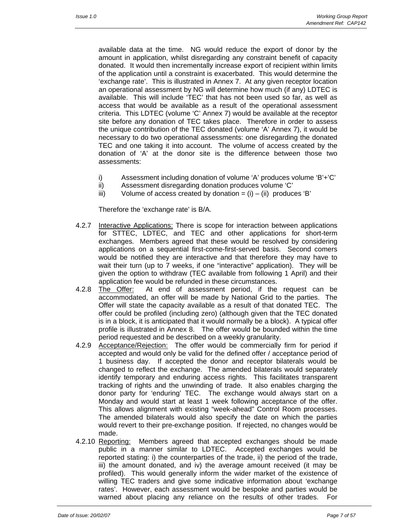available data at the time. NG would reduce the export of donor by the amount in application, whilst disregarding any constraint benefit of capacity donated. It would then incrementally increase export of recipient within limits of the application until a constraint is exacerbated. This would determine the 'exchange rate'. This is illustrated in Annex 7. At any given receptor location an operational assessment by NG will determine how much (if any) LDTEC is available. This will include 'TEC' that has not been used so far, as well as access that would be available as a result of the operational assessment criteria. This LDTEC (volume 'C' Annex 7) would be available at the receptor site before any donation of TEC takes place. Therefore in order to assess the unique contribution of the TEC donated (volume 'A' Annex 7), it would be necessary to do two operational assessments: one disregarding the donated TEC and one taking it into account. The volume of access created by the donation of 'A' at the donor site is the difference between those two assessments:

- i) Assessment including donation of volume 'A' produces volume 'B'+'C'
- ii) Assessment disregarding donation produces volume 'C'
- $iii)$  Volume of access created by donation =  $(i) (ii)$  produces 'B'

Therefore the 'exchange rate' is B/A.

- 4.2.7 Interactive Applications: There is scope for interaction between applications for STTEC, LDTEC, and TEC and other applications for short-term exchanges. Members agreed that these would be resolved by considering applications on a sequential first-come-first-served basis. Second comers would be notified they are interactive and that therefore they may have to wait their turn (up to 7 weeks, if one "interactive" application). They will be given the option to withdraw (TEC available from following 1 April) and their application fee would be refunded in these circumstances.
- 4.2.8 The Offer: At end of assessment period, if the request can be accommodated, an offer will be made by National Grid to the parties. The Offer will state the capacity available as a result of that donated TEC. The offer could be profiled (including zero) (although given that the TEC donated is in a block, it is anticipated that it would normally be a block). A typical offer profile is illustrated in Annex 8. The offer would be bounded within the time period requested and be described on a weekly granularity.
- 4.2.9 Acceptance/Rejection: The offer would be commercially firm for period if accepted and would only be valid for the defined offer / acceptance period of 1 business day. If accepted the donor and receptor bilaterals would be changed to reflect the exchange. The amended bilaterals would separately identify temporary and enduring access rights. This facilitates transparent tracking of rights and the unwinding of trade. It also enables charging the donor party for 'enduring' TEC. The exchange would always start on a Monday and would start at least 1 week following acceptance of the offer. This allows alignment with existing "week-ahead" Control Room processes. The amended bilaterals would also specify the date on which the parties would revert to their pre-exchange position. If rejected, no changes would be made.
- 4.2.10 Reporting: Members agreed that accepted exchanges should be made public in a manner similar to LDTEC. Accepted exchanges would be reported stating: i) the counterparties of the trade, ii) the period of the trade, iii) the amount donated, and iv) the average amount received (it may be profiled). This would generally inform the wider market of the existence of willing TEC traders and give some indicative information about 'exchange rates'. However, each assessment would be bespoke and parties would be warned about placing any reliance on the results of other trades. For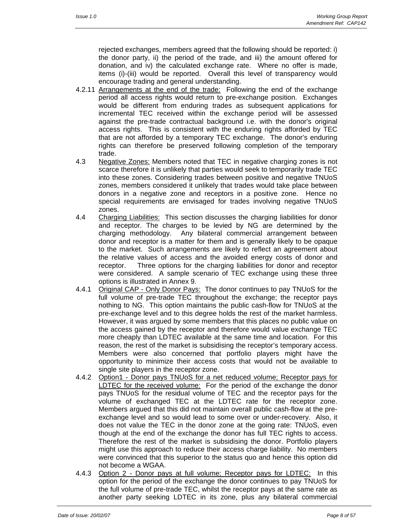rejected exchanges, members agreed that the following should be reported: i) the donor party, ii) the period of the trade, and iii) the amount offered for donation, and iv) the calculated exchange rate. Where no offer is made, items (i)-(iii) would be reported. Overall this level of transparency would encourage trading and general understanding.

- 4.2.11 Arrangements at the end of the trade: Following the end of the exchange period all access rights would return to pre-exchange position. Exchanges would be different from enduring trades as subsequent applications for incremental TEC received within the exchange period will be assessed against the pre-trade contractual background i.e. with the donor's original access rights. This is consistent with the enduring rights afforded by TEC that are not afforded by a temporary TEC exchange. The donor's enduring rights can therefore be preserved following completion of the temporary trade.
- 4.3 Negative Zones: Members noted that TEC in negative charging zones is not scarce therefore it is unlikely that parties would seek to temporarily trade TEC into these zones. Considering trades between positive and negative TNUoS zones, members considered it unlikely that trades would take place between donors in a negative zone and receptors in a positive zone. Hence no special requirements are envisaged for trades involving negative TNUoS zones.
- 4.4 Charging Liabilities: This section discusses the charging liabilities for donor and receptor. The charges to be levied by NG are determined by the charging methodology. Any bilateral commercial arrangement between donor and receptor is a matter for them and is generally likely to be opaque to the market. Such arrangements are likely to reflect an agreement about the relative values of access and the avoided energy costs of donor and receptor. Three options for the charging liabilities for donor and receptor were considered. A sample scenario of TEC exchange using these three options is illustrated in Annex 9.
- 4.4.1 Original CAP Only Donor Pays: The donor continues to pay TNUoS for the full volume of pre-trade TEC throughout the exchange; the receptor pays nothing to NG. This option maintains the public cash-flow for TNUoS at the pre-exchange level and to this degree holds the rest of the market harmless. However, it was argued by some members that this places no public value on the access gained by the receptor and therefore would value exchange TEC more cheaply than LDTEC available at the same time and location. For this reason, the rest of the market is subsidising the receptor's temporary access. Members were also concerned that portfolio players might have the opportunity to minimize their access costs that would not be available to single site players in the receptor zone.
- 4.4.2 Option1 Donor pays TNUoS for a net reduced volume; Receptor pays for LDTEC for the received volume: For the period of the exchange the donor pays TNUoS for the residual volume of TEC and the receptor pays for the volume of exchanged TEC at the LDTEC rate for the receptor zone. Members argued that this did not maintain overall public cash-flow at the preexchange level and so would lead to some over or under-recovery. Also, it does not value the TEC in the donor zone at the going rate: TNUoS, even though at the end of the exchange the donor has full TEC rights to access. Therefore the rest of the market is subsidising the donor. Portfolio players might use this approach to reduce their access charge liability. No members were convinced that this superior to the status quo and hence this option did not become a WGAA.
- 4.4.3 Option 2 Donor pays at full volume; Receptor pays for LDTEC: In this option for the period of the exchange the donor continues to pay TNUoS for the full volume of pre-trade TEC, whilst the receptor pays at the same rate as another party seeking LDTEC in its zone, plus any bilateral commercial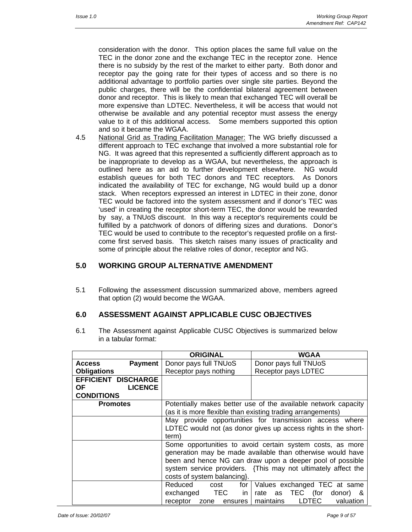consideration with the donor. This option places the same full value on the TEC in the donor zone and the exchange TEC in the receptor zone. Hence there is no subsidy by the rest of the market to either party. Both donor and receptor pay the going rate for their types of access and so there is no additional advantage to portfolio parties over single site parties. Beyond the public charges, there will be the confidential bilateral agreement between donor and receptor. This is likely to mean that exchanged TEC will overall be more expensive than LDTEC. Nevertheless, it will be access that would not otherwise be available and any potential receptor must assess the energy value to it of this additional access. Some members supported this option and so it became the WGAA.

4.5 National Grid as Trading Facilitation Manager: The WG briefly discussed a different approach to TEC exchange that involved a more substantial role for NG. It was agreed that this represented a sufficiently different approach as to be inappropriate to develop as a WGAA, but nevertheless, the approach is outlined here as an aid to further development elsewhere. NG would establish queues for both TEC donors and TEC receptors. As Donors indicated the availability of TEC for exchange, NG would build up a donor stack. When receptors expressed an interest in LDTEC in their zone, donor TEC would be factored into the system assessment and if donor's TEC was 'used' in creating the receptor short-term TEC, the donor would be rewarded by say, a TNUoS discount. In this way a receptor's requirements could be fulfilled by a patchwork of donors of differing sizes and durations. Donor's TEC would be used to contribute to the receptor's requested profile on a firstcome first served basis. This sketch raises many issues of practicality and some of principle about the relative roles of donor, receptor and NG.

# **5.0 WORKING GROUP ALTERNATIVE AMENDMENT**

5.1 Following the assessment discussion summarized above, members agreed that option (2) would become the WGAA.

### **6.0 ASSESSMENT AGAINST APPLICABLE CUSC OBJECTIVES**

6.1 The Assessment against Applicable CUSC Objectives is summarized below in a tabular format:

|                            |                | <b>ORIGINAL</b>                                                | <b>WGAA</b>                                                   |
|----------------------------|----------------|----------------------------------------------------------------|---------------------------------------------------------------|
| Access                     | Payment        | Donor pays full TNUoS                                          | Donor pays full TNUoS                                         |
| <b>Obligations</b>         |                | Receptor pays nothing                                          | Receptor pays LDTEC                                           |
| <b>EFFICIENT DISCHARGE</b> |                |                                                                |                                                               |
| OF.                        | <b>LICENCE</b> |                                                                |                                                               |
| <b>CONDITIONS</b>          |                |                                                                |                                                               |
| <b>Promotes</b>            |                | Potentially makes better use of the available network capacity |                                                               |
|                            |                |                                                                | (as it is more flexible than existing trading arrangements)   |
|                            |                | May provide opportunities for transmission access where        |                                                               |
|                            |                | LDTEC would not (as donor gives up access rights in the short- |                                                               |
|                            |                | term)                                                          |                                                               |
|                            |                | Some opportunities to avoid certain system costs, as more      |                                                               |
|                            |                |                                                                | generation may be made available than otherwise would have    |
|                            |                | been and hence NG can draw upon a deeper pool of possible      |                                                               |
|                            |                |                                                                | system service providers. {This may not ultimately affect the |
|                            |                | costs of system balancing.                                     |                                                               |
|                            |                | Reduced<br>for  <br>cost                                       | Values exchanged TEC at same                                  |
|                            |                | exchanged TEC<br>in I                                          | rate as TEC (for<br>donor) &                                  |
|                            |                | receptor zone ensures                                          | <b>LDTEC</b><br>valuation<br>maintains                        |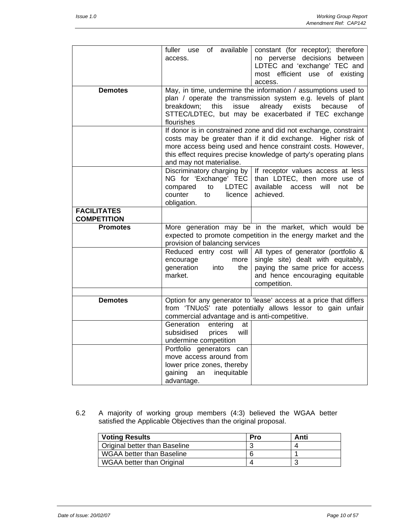|                                          | available<br>fuller use of<br>access.                                                                                                                                                                                                                                                            | constant (for receptor); therefore<br>no perverse decisions between<br>LDTEC and 'exchange' TEC and<br>most efficient use of existing<br>access.                                                                          |
|------------------------------------------|--------------------------------------------------------------------------------------------------------------------------------------------------------------------------------------------------------------------------------------------------------------------------------------------------|---------------------------------------------------------------------------------------------------------------------------------------------------------------------------------------------------------------------------|
| <b>Demotes</b>                           | breakdown; this<br>issue<br>flourishes                                                                                                                                                                                                                                                           | May, in time, undermine the information / assumptions used to<br>plan / operate the transmission system e.g. levels of plant<br>already<br>exists<br>because<br>of<br>STTEC/LDTEC, but may be exacerbated if TEC exchange |
|                                          | If donor is in constrained zone and did not exchange, constraint<br>costs may be greater than if it did exchange. Higher risk of<br>more access being used and hence constraint costs. However,<br>this effect requires precise knowledge of party's operating plans<br>and may not materialise. |                                                                                                                                                                                                                           |
|                                          | Discriminatory charging by<br>NG for 'Exchange' TEC<br>compared<br>LDTEC<br>to<br>counter<br>licence<br>to<br>obligation.                                                                                                                                                                        | If receptor values access at less<br>than LDTEC, then more use of<br>available access<br>will<br>not<br>be<br>achieved.                                                                                                   |
| <b>FACILITATES</b><br><b>COMPETITION</b> |                                                                                                                                                                                                                                                                                                  |                                                                                                                                                                                                                           |
| <b>Promotes</b>                          | More generation may be in the market, which would be<br>expected to promote competition in the energy market and the<br>provision of balancing services                                                                                                                                          |                                                                                                                                                                                                                           |
|                                          | encourage<br>more<br>generation<br>the<br>into<br>market.                                                                                                                                                                                                                                        | Reduced entry cost will All types of generator (portfolio &<br>single site) dealt with equitably,<br>paying the same price for access<br>and hence encouraging equitable<br>competition.                                  |
|                                          |                                                                                                                                                                                                                                                                                                  |                                                                                                                                                                                                                           |
| <b>Demotes</b>                           | commercial advantage and is anti-competitive.                                                                                                                                                                                                                                                    | Option for any generator to 'lease' access at a price that differs<br>from 'TNUoS' rate potentially allows lessor to gain unfair                                                                                          |
|                                          | Generation<br>entering<br>at<br>subsidised<br>will<br>prices<br>undermine competition                                                                                                                                                                                                            |                                                                                                                                                                                                                           |
|                                          | Portfolio generators can<br>move access around from<br>lower price zones, thereby<br>gaining<br>inequitable<br>an<br>advantage.                                                                                                                                                                  |                                                                                                                                                                                                                           |

6.2 A majority of working group members (4:3) believed the WGAA better satisfied the Applicable Objectives than the original proposal.

| <b>Voting Results</b>            | Pro | Anti |
|----------------------------------|-----|------|
| Original better than Baseline    |     |      |
| <b>WGAA better than Baseline</b> |     |      |
| WGAA better than Original        |     |      |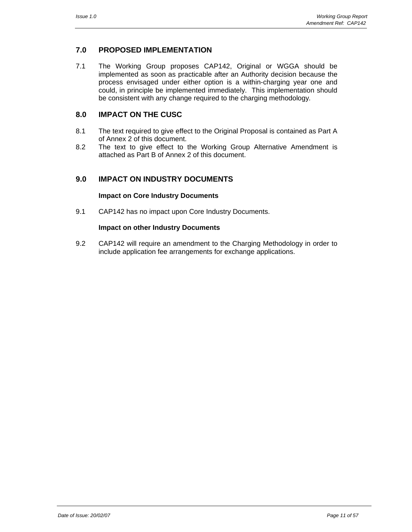# **7.0 PROPOSED IMPLEMENTATION**

7.1 The Working Group proposes CAP142, Original or WGGA should be implemented as soon as practicable after an Authority decision because the process envisaged under either option is a within-charging year one and could, in principle be implemented immediately. This implementation should be consistent with any change required to the charging methodology*.* 

### **8.0 IMPACT ON THE CUSC**

- 8.1 The text required to give effect to the Original Proposal is contained as Part A of Annex 2 of this document.
- 8.2 The text to give effect to the Working Group Alternative Amendment is attached as Part B of Annex 2 of this document.

# **9.0 IMPACT ON INDUSTRY DOCUMENTS**

#### **Impact on Core Industry Documents**

9.1 CAP142 has no impact upon Core Industry Documents.

#### **Impact on other Industry Documents**

9.2 CAP142 will require an amendment to the Charging Methodology in order to include application fee arrangements for exchange applications.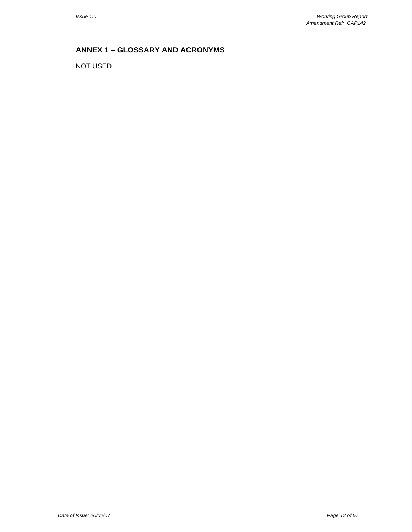# **ANNEX 1 – GLOSSARY AND ACRONYMS**

NOT USED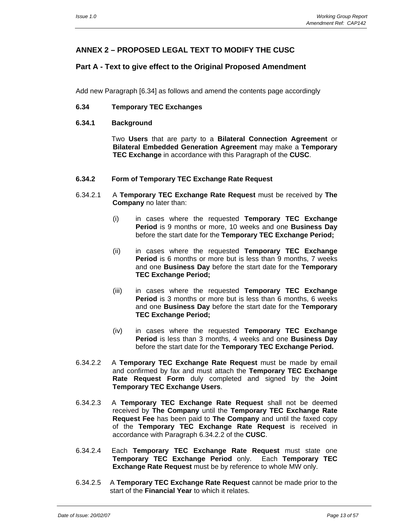# **ANNEX 2 – PROPOSED LEGAL TEXT TO MODIFY THE CUSC**

# **Part A - Text to give effect to the Original Proposed Amendment**

Add new Paragraph [6.34] as follows and amend the contents page accordingly

#### **6.34 Temporary TEC Exchanges**

#### **6.34.1 Background**

 Two **Users** that are party to a **Bilateral Connection Agreement** or **Bilateral Embedded Generation Agreement** may make a **Temporary TEC Exchange** in accordance with this Paragraph of the **CUSC**.

#### **6.34.2 Form of Temporary TEC Exchange Rate Request**

- 6.34.2.1 A **Temporary TEC Exchange Rate Request** must be received by **The Company** no later than:
	- (i) in cases where the requested **Temporary TEC Exchange Period** is 9 months or more, 10 weeks and one **Business Day** before the start date for the **Temporary TEC Exchange Period;**
	- (ii) in cases where the requested **Temporary TEC Exchange Period** is 6 months or more but is less than 9 months, 7 weeks and one **Business Day** before the start date for the **Temporary TEC Exchange Period;**
	- (iii) in cases where the requested **Temporary TEC Exchange Period** is 3 months or more but is less than 6 months, 6 weeks and one **Business Day** before the start date for the **Temporary TEC Exchange Period;**
	- (iv) in cases where the requested **Temporary TEC Exchange Period** is less than 3 months, 4 weeks and one **Business Day** before the start date for the **Temporary TEC Exchange Period.**
- 6.34.2.2 A **Temporary TEC Exchange Rate Request** must be made by email and confirmed by fax and must attach the **Temporary TEC Exchange Rate Request Form** duly completed and signed by the **Joint Temporary TEC Exchange Users**.
- 6.34.2.3 A **Temporary TEC Exchange Rate Request** shall not be deemed received by **The Company** until the **Temporary TEC Exchange Rate Request Fee** has been paid to **The Company** and until the faxed copy of the **Temporary TEC Exchange Rate Request** is received in accordance with Paragraph 6.34.2.2 of the **CUSC**.
- 6.34.2.4 Each **Temporary TEC Exchange Rate Request** must state one **Temporary TEC Exchange Period** only. Each **Temporary TEC Exchange Rate Request** must be by reference to whole MW only.
- 6.34.2.5 A **Temporary TEC Exchange Rate Request** cannot be made prior to the start of the **Financial Year** to which it relates.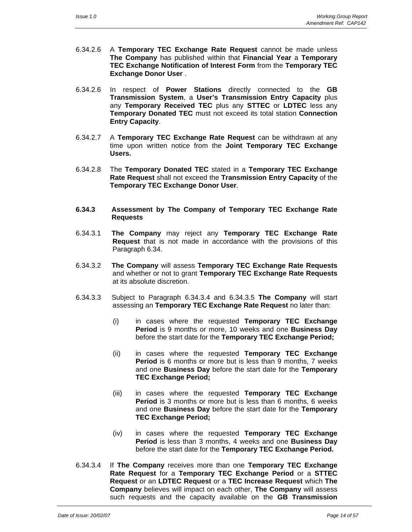- 6.34.2.6 A **Temporary TEC Exchange Rate Request** cannot be made unless **The Company** has published within that **Financial Year** a **Temporary TEC Exchange Notification of Interest Form** from the **Temporary TEC Exchange Donor User** .
- 6.34.2.6 In respect of **Power Stations** directly connected to the **GB Transmission System**, a **User's Transmission Entry Capacity** plus any **Temporary Received TEC** plus any **STTEC** or **LDTEC** less any **Temporary Donated TEC** must not exceed its total station **Connection Entry Capacity**.
- 6.34.2.7 A **Temporary TEC Exchange Rate Request** can be withdrawn at any time upon written notice from the **Joint Temporary TEC Exchange Users.**
- 6.34.2.8 The **Temporary Donated TEC** stated in a **Temporary TEC Exchange Rate Request** shall not exceed the **Transmission Entry Capacity** of the **Temporary TEC Exchange Donor User**.
- **6.34.3 Assessment by The Company of Temporary TEC Exchange Rate Requests**
- 6.34.3.1 **The Company** may reject any **Temporary TEC Exchange Rate Request** that is not made in accordance with the provisions of this Paragraph 6.34.
- 6.34.3.2 **The Company** will assess **Temporary TEC Exchange Rate Requests** and whether or not to grant **Temporary TEC Exchange Rate Requests**  at its absolute discretion.
- 6.34.3.3 Subject to Paragraph 6.34.3.4 and 6.34.3.5 **The Company** will start assessing an **Temporary TEC Exchange Rate Request** no later than:
	- (i) in cases where the requested **Temporary TEC Exchange Period** is 9 months or more, 10 weeks and one **Business Day** before the start date for the **Temporary TEC Exchange Period;**
	- (ii) in cases where the requested **Temporary TEC Exchange Period** is 6 months or more but is less than 9 months, 7 weeks and one **Business Day** before the start date for the **Temporary TEC Exchange Period;**
	- (iii) in cases where the requested **Temporary TEC Exchange Period** is 3 months or more but is less than 6 months, 6 weeks and one **Business Day** before the start date for the **Temporary TEC Exchange Period;**
	- (iv) in cases where the requested **Temporary TEC Exchange Period** is less than 3 months, 4 weeks and one **Business Day** before the start date for the **Temporary TEC Exchange Period.**
- 6.34.3.4 If **The Company** receives more than one **Temporary TEC Exchange Rate Request** for a **Temporary TEC Exchange Period** or a **STTEC Request** or an **LDTEC Request** or a **TEC Increase Request** which **The Company** believes will impact on each other, **The Company** will assess such requests and the capacity available on the **GB Transmission**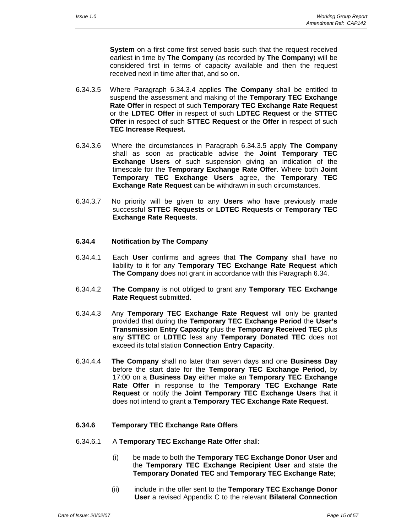**System** on a first come first served basis such that the request received earliest in time by **The Company** (as recorded by **The Company**) will be considered first in terms of capacity available and then the request received next in time after that, and so on.

- 6.34.3.5 Where Paragraph 6.34.3.4 applies **The Company** shall be entitled to suspend the assessment and making of the **Temporary TEC Exchange Rate Offer** in respect of such **Temporary TEC Exchange Rate Request** or the **LDTEC Offer** in respect of such **LDTEC Request** or the **STTEC Offer** in respect of such **STTEC Request** or the **Offer** in respect of such **TEC Increase Request.**
- 6.34.3.6 Where the circumstances in Paragraph 6.34.3.5 apply **The Company** shall as soon as practicable advise the **Joint Temporary TEC Exchange Users** of such suspension giving an indication of the timescale for the **Temporary Exchange Rate Offer**. Where both **Joint Temporary TEC Exchange Users** agree, the **Temporary TEC Exchange Rate Request** can be withdrawn in such circumstances.
- 6.34.3.7 No priority will be given to any **Users** who have previously made successful **STTEC Requests** or **LDTEC Requests** or **Temporary TEC Exchange Rate Requests**.

#### **6.34.4 Notification by The Company**

- 6.34.4.1 Each **User** confirms and agrees that **The Company** shall have no liability to it for any **Temporary TEC Exchange Rate Request** which **The Company** does not grant in accordance with this Paragraph 6.34.
- 6.34.4.2 **The Company** is not obliged to grant any **Temporary TEC Exchange Rate Request** submitted.
- 6.34.4.3 Any **Temporary TEC Exchange Rate Request** will only be granted provided that during the **Temporary TEC Exchange Period** the **User's Transmission Entry Capacity** plus the **Temporary Received TEC** plus any **STTEC** or **LDTEC** less any **Temporary Donated TEC** does not exceed its total station **Connection Entry Capacity**.
- 6.34.4.4 **The Company** shall no later than seven days and one **Business Day**  before the start date for the **Temporary TEC Exchange Period**, by 17:00 on a **Business Day** either make an **Temporary TEC Exchange Rate Offer** in response to the **Temporary TEC Exchange Rate Request** or notify the **Joint Temporary TEC Exchange Users** that it does not intend to grant a **Temporary TEC Exchange Rate Request**.

#### **6.34.6 Temporary TEC Exchange Rate Offers**

- 6.34.6.1 A **Temporary TEC Exchange Rate Offer** shall:
	- (i) be made to both the **Temporary TEC Exchange Donor User** and the **Temporary TEC Exchange Recipient User** and state the **Temporary Donated TEC** and **Temporary TEC Exchange Rate**;
	- (ii) include in the offer sent to the **Temporary TEC Exchange Donor User** a revised Appendix C to the relevant **Bilateral Connection**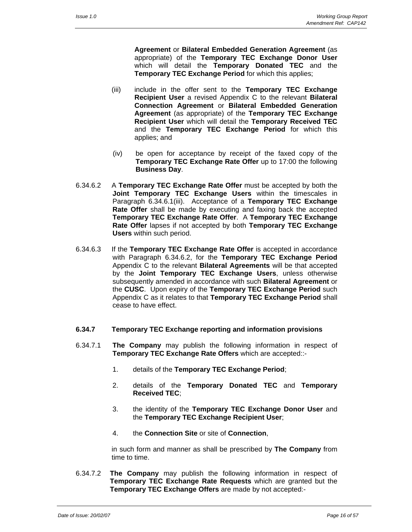**Agreement** or **Bilateral Embedded Generation Agreement** (as appropriate) of the **Temporary TEC Exchange Donor User** which will detail the **Temporary Donated TEC** and the **Temporary TEC Exchange Period** for which this applies;

- (iii) include in the offer sent to the **Temporary TEC Exchange Recipient User** a revised Appendix C to the relevant **Bilateral Connection Agreement** or **Bilateral Embedded Generation Agreement** (as appropriate) of the **Temporary TEC Exchange Recipient User** which will detail the **Temporary Received TEC** and the **Temporary TEC Exchange Period** for which this applies; and
- (iv) be open for acceptance by receipt of the faxed copy of the **Temporary TEC Exchange Rate Offer** up to 17:00 the following **Business Day**.
- 6.34.6.2 A **Temporary TEC Exchange Rate Offer** must be accepted by both the **Joint Temporary TEC Exchange Users** within the timescales in Paragraph 6.34.6.1(iii). Acceptance of a **Temporary TEC Exchange Rate Offer** shall be made by executing and faxing back the accepted **Temporary TEC Exchange Rate Offer**. A **Temporary TEC Exchange Rate Offer** lapses if not accepted by both **Temporary TEC Exchange Users** within such period.
- 6.34.6.3 If the **Temporary TEC Exchange Rate Offer** is accepted in accordance with Paragraph 6.34.6.2, for the **Temporary TEC Exchange Period** Appendix C to the relevant **Bilateral Agreements** will be that accepted by the **Joint Temporary TEC Exchange Users**, unless otherwise subsequently amended in accordance with such **Bilateral Agreement** or the **CUSC**. Upon expiry of the **Temporary TEC Exchange Period** such Appendix C as it relates to that **Temporary TEC Exchange Period** shall cease to have effect.

#### **6.34.7 Temporary TEC Exchange reporting and information provisions**

- 6.34.7.1 **The Company** may publish the following information in respect of **Temporary TEC Exchange Rate Offers** which are accepted::-
	- 1. details of the **Temporary TEC Exchange Period**;
	- 2. details of the **Temporary Donated TEC** and **Temporary Received TEC**;
	- 3. the identity of the **Temporary TEC Exchange Donor User** and the **Temporary TEC Exchange Recipient User**;
	- 4. the **Connection Site** or site of **Connection**,

 in such form and manner as shall be prescribed by **The Company** from time to time.

6.34.7.2 **The Company** may publish the following information in respect of **Temporary TEC Exchange Rate Requests** which are granted but the **Temporary TEC Exchange Offers** are made by not accepted:-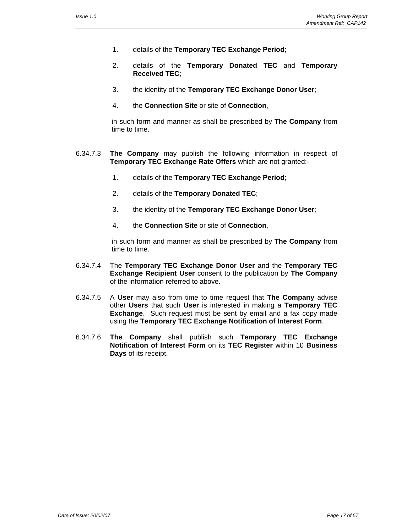- 1. details of the **Temporary TEC Exchange Period**;
- 2. details of the **Temporary Donated TEC** and **Temporary Received TEC**;
- 3. the identity of the **Temporary TEC Exchange Donor User**;
- 4. the **Connection Site** or site of **Connection**,

 in such form and manner as shall be prescribed by **The Company** from time to time.

- 6.34.7.3 **The Company** may publish the following information in respect of **Temporary TEC Exchange Rate Offers** which are not granted:-
	- 1. details of the **Temporary TEC Exchange Period**;
	- 2. details of the **Temporary Donated TEC**;
	- 3. the identity of the **Temporary TEC Exchange Donor User**;
	- 4. the **Connection Site** or site of **Connection**,

 in such form and manner as shall be prescribed by **The Company** from time to time.

- 6.34.7.4 The **Temporary TEC Exchange Donor User** and the **Temporary TEC Exchange Recipient User** consent to the publication by **The Company** of the information referred to above.
- 6.34.7.5 A **User** may also from time to time request that **The Company** advise other **Users** that such **User** is interested in making a **Temporary TEC Exchange**. Such request must be sent by email and a fax copy made using the **Temporary TEC Exchange Notification of Interest Form**.
- 6.34.7.6 **The Company** shall publish such **Temporary TEC Exchange Notification of Interest Form** on its **TEC Register** within 10 **Business Days** of its receipt.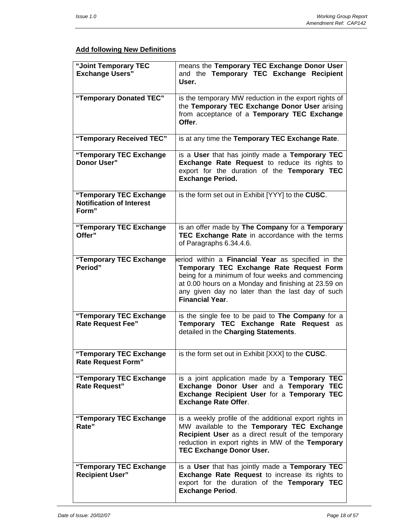# **Add following New Definitions**

| "Joint Temporary TEC<br><b>Exchange Users"</b>                      | means the Temporary TEC Exchange Donor User<br>and the Temporary TEC Exchange Recipient<br>User.                                                                                                                                                                                       |
|---------------------------------------------------------------------|----------------------------------------------------------------------------------------------------------------------------------------------------------------------------------------------------------------------------------------------------------------------------------------|
| "Temporary Donated TEC"                                             | is the temporary MW reduction in the export rights of<br>the Temporary TEC Exchange Donor User arising<br>from acceptance of a Temporary TEC Exchange<br>Offer.                                                                                                                        |
| "Temporary Received TEC"                                            | is at any time the Temporary TEC Exchange Rate.                                                                                                                                                                                                                                        |
| "Temporary TEC Exchange<br><b>Donor User"</b>                       | is a User that has jointly made a Temporary TEC<br><b>Exchange Rate Request to reduce its rights to</b><br>export for the duration of the Temporary TEC<br><b>Exchange Period.</b>                                                                                                     |
| "Temporary TEC Exchange<br><b>Notification of Interest</b><br>Form" | is the form set out in Exhibit [YYY] to the CUSC.                                                                                                                                                                                                                                      |
| "Temporary TEC Exchange<br>Offer"                                   | is an offer made by The Company for a Temporary<br>TEC Exchange Rate in accordance with the terms<br>of Paragraphs 6.34.4.6.                                                                                                                                                           |
| "Temporary TEC Exchange<br>Period"                                  | eriod within a Financial Year as specified in the<br>Temporary TEC Exchange Rate Request Form<br>being for a minimum of four weeks and commencing<br>at 0.00 hours on a Monday and finishing at 23.59 on<br>any given day no later than the last day of such<br><b>Financial Year.</b> |
| "Temporary TEC Exchange<br><b>Rate Request Fee"</b>                 | is the single fee to be paid to The Company for a<br>Temporary TEC Exchange Rate Request as<br>detailed in the Charging Statements.                                                                                                                                                    |
| "Temporary TEC Exchange<br><b>Rate Request Form"</b>                | is the form set out in Exhibit [XXX] to the CUSC.                                                                                                                                                                                                                                      |
| "Temporary TEC Exchange<br><b>Rate Request"</b>                     | is a joint application made by a Temporary TEC<br>Exchange Donor User and a Temporary TEC<br>Exchange Recipient User for a Temporary TEC<br><b>Exchange Rate Offer.</b>                                                                                                                |
| "Temporary TEC Exchange<br>Rate"                                    | is a weekly profile of the additional export rights in<br>MW available to the Temporary TEC Exchange<br>Recipient User as a direct result of the temporary<br>reduction in export rights in MW of the Temporary<br><b>TEC Exchange Donor User.</b>                                     |
| "Temporary TEC Exchange<br><b>Recipient User"</b>                   | is a User that has jointly made a Temporary TEC<br>Exchange Rate Request to increase its rights to<br>export for the duration of the Temporary TEC<br><b>Exchange Period.</b>                                                                                                          |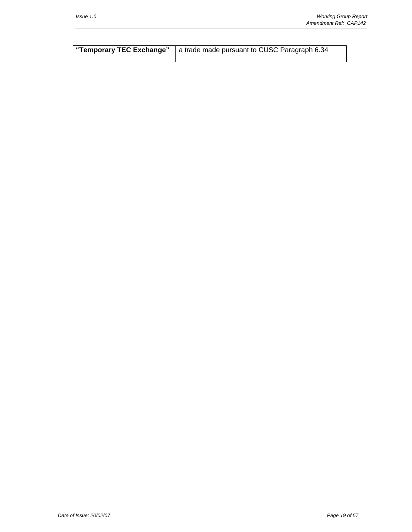| "Temporary TEC Exchange"   a trade made pursuant to CUSC Paragraph 6.34 |
|-------------------------------------------------------------------------|
|                                                                         |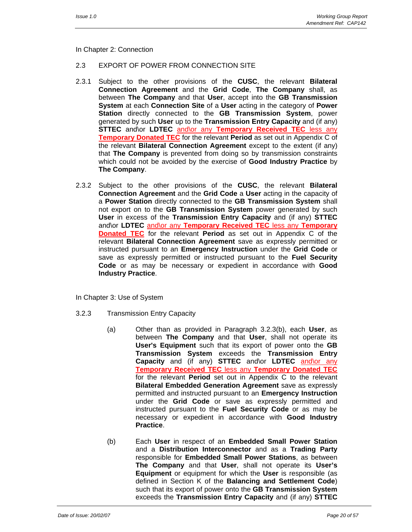In Chapter 2: Connection

#### 2.3 EXPORT OF POWER FROM CONNECTION SITE

- 2.3.1 Subject to the other provisions of the **CUSC**, the relevant **Bilateral Connection Agreement** and the **Grid Code**, **The Company** shall, as between **The Company** and that **User**, accept into the **GB Transmission System** at each **Connection Site** of a **User** acting in the category of **Power Station** directly connected to the **GB Transmission System**, power generated by such **User** up to the **Transmission Entry Capacity** and (if any) **STTEC** and\or **LDTEC** and\or any **Temporary Received TEC** less any **Temporary Donated TEC** for the relevant **Period** as set out in Appendix C of the relevant **Bilateral Connection Agreement** except to the extent (if any) that **The Company** is prevented from doing so by transmission constraints which could not be avoided by the exercise of **Good Industry Practice** by **The Company**.
- 2.3.2 Subject to the other provisions of the **CUSC**, the relevant **Bilateral Connection Agreement** and the **Grid Code** a **User** acting in the capacity of a **Power Station** directly connected to the **GB Transmission System** shall not export on to the **GB Transmission System** power generated by such **User** in excess of the **Transmission Entry Capacity** and (if any) **STTEC** and\or **LDTEC** and\or any **Temporary Received TEC** less any **Temporary Donated TEC** for the relevant **Period** as set out in Appendix C of the relevant **Bilateral Connection Agreement** save as expressly permitted or instructed pursuant to an **Emergency Instruction** under the **Grid Code** or save as expressly permitted or instructed pursuant to the **Fuel Security Code** or as may be necessary or expedient in accordance with **Good Industry Practice**.

In Chapter 3: Use of System

- 3.2.3 Transmission Entry Capacity
	- (a) Other than as provided in Paragraph 3.2.3(b), each **User**, as between **The Company** and that **User**, shall not operate its **User's Equipment** such that its export of power onto the **GB Transmission System** exceeds the **Transmission Entry Capacity** and (if any) **STTEC** and\or **LDTEC** and\or any **Temporary Received TEC** less any **Temporary Donated TEC** for the relevant **Period** set out in Appendix C to the relevant **Bilateral Embedded Generation Agreement** save as expressly permitted and instructed pursuant to an **Emergency Instruction** under the **Grid Code** or save as expressly permitted and instructed pursuant to the **Fuel Security Code** or as may be necessary or expedient in accordance with **Good Industry Practice**.
	- (b) Each **User** in respect of an **Embedded Small Power Station** and a **Distribution Interconnector** and as a **Trading Party** responsible for **Embedded Small Power Stations**, as between **The Company** and that **User**, shall not operate its **User's Equipment** or equipment for which the **User** is responsible (as defined in Section K of the **Balancing and Settlement Code**) such that its export of power onto the **GB Transmission System** exceeds the **Transmission Entry Capacity** and (if any) **STTEC**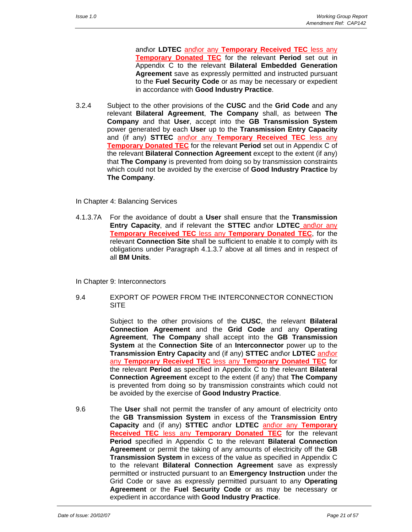and\or **LDTEC** and\or any **Temporary Received TEC** less any **Temporary Donated TEC** for the relevant **Period** set out in Appendix C to the relevant **Bilateral Embedded Generation Agreement** save as expressly permitted and instructed pursuant to the **Fuel Security Code** or as may be necessary or expedient in accordance with **Good Industry Practice**.

- 3.2.4 Subject to the other provisions of the **CUSC** and the **Grid Code** and any relevant **Bilateral Agreement**, **The Company** shall, as between **The Company** and that **User**, accept into the **GB Transmission System** power generated by each **User** up to the **Transmission Entry Capacity** and (if any) **STTEC** and\or any **Temporary Received TEC** less any **Temporary Donated TEC** for the relevant **Period** set out in Appendix C of the relevant **Bilateral Connection Agreement** except to the extent (if any) that **The Company** is prevented from doing so by transmission constraints which could not be avoided by the exercise of **Good Industry Practice** by **The Company**.
- In Chapter 4: Balancing Services
- 4.1.3.7A For the avoidance of doubt a **User** shall ensure that the **Transmission Entry Capacity**, and if relevant the **STTEC** and\or **LDTEC** and\or any **Temporary Received TEC** less any **Temporary Donated TEC**, for the relevant **Connection Site** shall be sufficient to enable it to comply with its obligations under Paragraph 4.1.3.7 above at all times and in respect of all **BM Units**.

In Chapter 9: Interconnectors

9.4 EXPORT OF POWER FROM THE INTERCONNECTOR CONNECTION SITE

> Subject to the other provisions of the **CUSC**, the relevant **Bilateral Connection Agreement** and the **Grid Code** and any **Operating Agreement**, **The Company** shall accept into the **GB Transmission System** at the **Connection Site** of an **Interconnector** power up to the **Transmission Entry Capacity** and (if any) **STTEC** and\or **LDTEC** and\or any **Temporary Received TEC** less any **Temporary Donated TEC** for the relevant **Period** as specified in Appendix C to the relevant **Bilateral Connection Agreement** except to the extent (if any) that **The Company** is prevented from doing so by transmission constraints which could not be avoided by the exercise of **Good Industry Practice**.

9.6 The **User** shall not permit the transfer of any amount of electricity onto the **GB Transmission System** in excess of the **Transmission Entry Capacity** and (if any) **STTEC** and\or **LDTEC** and\or any **Temporary Received TEC** less any **Temporary Donated TEC** for the relevant **Period** specified in Appendix C to the relevant **Bilateral Connection Agreement** or permit the taking of any amounts of electricity off the **GB Transmission System** in excess of the value as specified in Appendix C to the relevant **Bilateral Connection Agreement** save as expressly permitted or instructed pursuant to an **Emergency Instruction** under the Grid Code or save as expressly permitted pursuant to any **Operating Agreement** or the **Fuel Security Code** or as may be necessary or expedient in accordance with **Good Industry Practice**.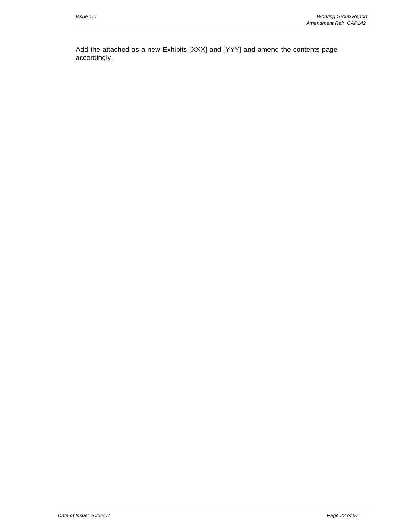Add the attached as a new Exhibits [XXX] and [YYY] and amend the contents page accordingly.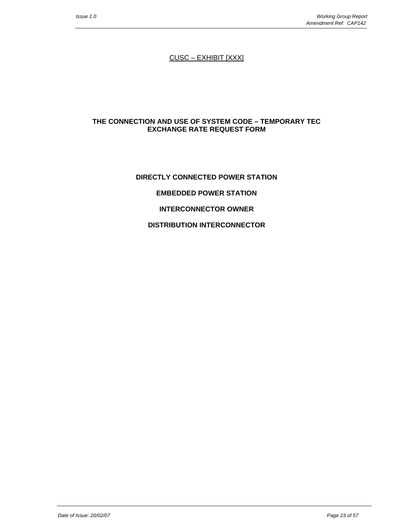CUSC – EXHIBIT [XXX]

#### **THE CONNECTION AND USE OF SYSTEM CODE – TEMPORARY TEC EXCHANGE RATE REQUEST FORM**

# **DIRECTLY CONNECTED POWER STATION EMBEDDED POWER STATION INTERCONNECTOR OWNER DISTRIBUTION INTERCONNECTOR**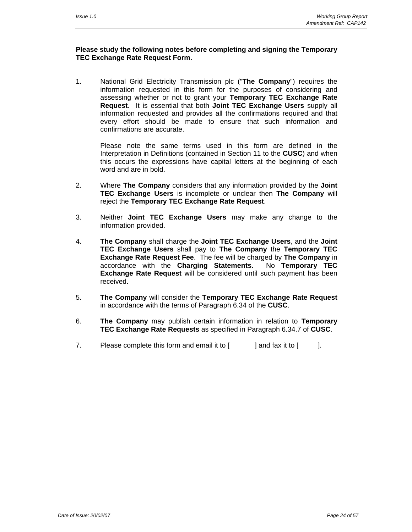#### **Please study the following notes before completing and signing the Temporary TEC Exchange Rate Request Form.**

1. National Grid Electricity Transmission plc ("**The Company**") requires the information requested in this form for the purposes of considering and assessing whether or not to grant your **Temporary TEC Exchange Rate Request**. It is essential that both **Joint TEC Exchange Users** supply all information requested and provides all the confirmations required and that every effort should be made to ensure that such information and confirmations are accurate.

 Please note the same terms used in this form are defined in the Interpretation in Definitions (contained in Section 11 to the **CUSC**) and when this occurs the expressions have capital letters at the beginning of each word and are in bold.

- 2. Where **The Company** considers that any information provided by the **Joint TEC Exchange Users** is incomplete or unclear then **The Company** will reject the **Temporary TEC Exchange Rate Request**.
- 3. Neither **Joint TEC Exchange Users** may make any change to the information provided.
- 4. **The Company** shall charge the **Joint TEC Exchange Users**, and the **Joint TEC Exchange Users** shall pay to **The Company** the **Temporary TEC Exchange Rate Request Fee**. The fee will be charged by **The Company** in accordance with the **Charging Statements**. No **Temporary TEC Exchange Rate Request** will be considered until such payment has been received.
- 5. **The Company** will consider the **Temporary TEC Exchange Rate Request**  in accordance with the terms of Paragraph 6.34 of the **CUSC**.
- 6. **The Company** may publish certain information in relation to **Temporary TEC Exchange Rate Requests** as specified in Paragraph 6.34.7 of **CUSC**.
- 7. Please complete this form and email it to  $\lceil \cdot \cdot \rceil$  and fax it to  $\lceil \cdot \cdot \rceil$ .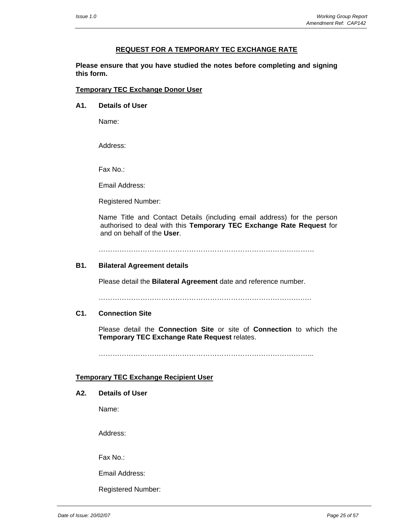#### **REQUEST FOR A TEMPORARY TEC EXCHANGE RATE**

**Please ensure that you have studied the notes before completing and signing this form.** 

#### **Temporary TEC Exchange Donor User**

**A1. Details of User**

Name:

Address:

Fax No.:

Email Address:

Registered Number:

Name Title and Contact Details (including email address) for the person authorised to deal with this **Temporary TEC Exchange Rate Request** for and on behalf of the **User**.

…………………………………………………………………………………

#### **B1. Bilateral Agreement details**

Please detail the **Bilateral Agreement** date and reference number.

…………………………………………………………………………….….

#### **C1. Connection Site**

Please detail the **Connection Site** or site of **Connection** to which the **Temporary TEC Exchange Rate Request** relates.

………………………………………………………………………………...

#### **Temporary TEC Exchange Recipient User**

#### **A2. Details of User**

Name:

Address:

Fax No.:

Email Address:

Registered Number: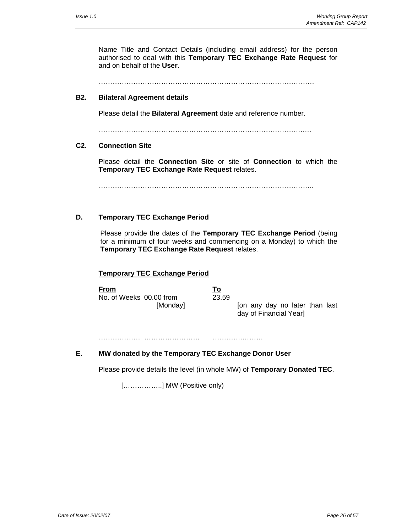Name Title and Contact Details (including email address) for the person authorised to deal with this **Temporary TEC Exchange Rate Request** for and on behalf of the **User**.

…………………………………………………………………………………

#### **B2. Bilateral Agreement details**

Please detail the **Bilateral Agreement** date and reference number.

…………………………………………………………………………….….

#### **C2. Connection Site**

Please detail the **Connection Site** or site of **Connection** to which the **Temporary TEC Exchange Rate Request** relates.

………………………………………………………………………………...

# **D. Temporary TEC Exchange Period**

Please provide the dates of the **Temporary TEC Exchange Period** (being for a minimum of four weeks and commencing on a Monday) to which the **Temporary TEC Exchange Rate Request** relates.

#### **Temporary TEC Exchange Period**

**From To** No. of Weeks 00.00 from

[Monday] [on any day no later than last day of Financial Year]

……………… …………………… ………….………

#### **E. MW donated by the Temporary TEC Exchange Donor User**

Please provide details the level (in whole MW) of **Temporary Donated TEC**.

[..................] MW (Positive only)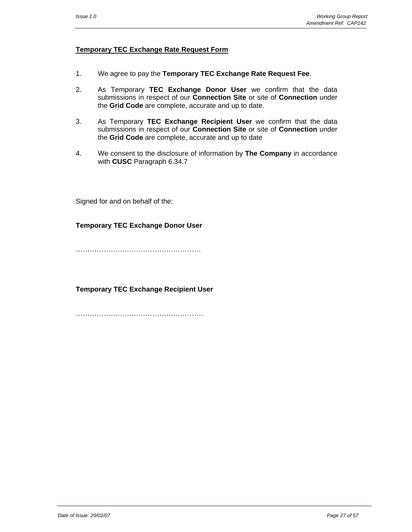#### **Temporary TEC Exchange Rate Request Form**

- 1. We agree to pay the **Temporary TEC Exchange Rate Request Fee**.
- 2. As Temporary **TEC Exchange Donor User** we confirm that the data submissions in respect of our **Connection Site** or site of **Connection** under the **Grid Code** are complete, accurate and up to date.
- 3. As Temporary **TEC Exchange Recipient User** we confirm that the data submissions in respect of our **Connection Site** or site of **Connection** under the **Grid Code** are complete, accurate and up to date
- 4. We consent to the disclosure of information by **The Company** in accordance with **CUSC** Paragraph 6.34.7

Signed for and on behalf of the:

#### **Temporary TEC Exchange Donor User**

………………………………………………

**Temporary TEC Exchange Recipient User** 

………………………………………………………………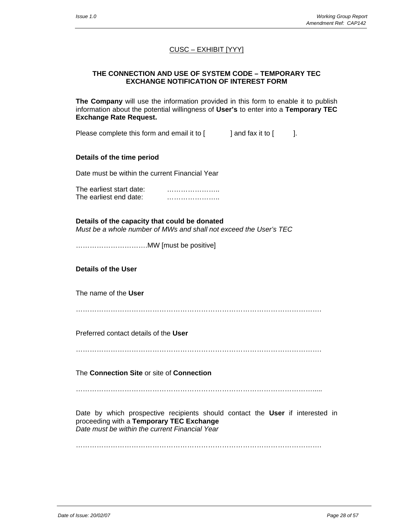# CUSC – EXHIBIT [YYY]

#### **THE CONNECTION AND USE OF SYSTEM CODE – TEMPORARY TEC EXCHANGE NOTIFICATION OF INTEREST FORM**

**The Company** will use the information provided in this form to enable it to publish information about the potential willingness of **User's** to enter into a **Temporary TEC Exchange Rate Request.**

Please complete this form and email it to  $\begin{bmatrix} 1 & 1 \end{bmatrix}$  and fax it to  $\begin{bmatrix} 1 & 1 \end{bmatrix}$ .

#### **Details of the time period**

Date must be within the current Financial Year

The earliest start date: **with the earliest start date:** The earliest end date: **Earling** manual control of the earliest end date:

#### **Details of the capacity that could be donated**

*Must be a whole number of MWs and shall not exceed the User's TEC* 

………………………….MW [must be positive]

#### **Details of the User**

The name of the **User**

…………………………………………………………………………………………….

Preferred contact details of the **User**

…………………………………………………………………………………………….

The **Connection Site** or site of **Connection**

………………………………………………………………………………………….....

Date by which prospective recipients should contact the **User** if interested in proceeding with a **Temporary TEC Exchange**  *Date must be within the current Financial Year* 

…………………………………………………………………………………………….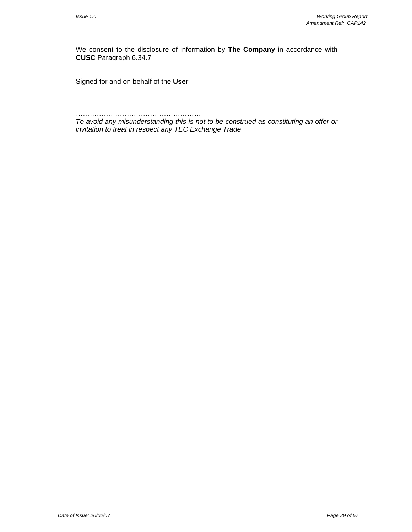We consent to the disclosure of information by **The Company** in accordance with **CUSC** Paragraph 6.34.7

Signed for and on behalf of the **User**

……………………………………………… *To avoid any misunderstanding this is not to be construed as constituting an offer or invitation to treat in respect any TEC Exchange Trade*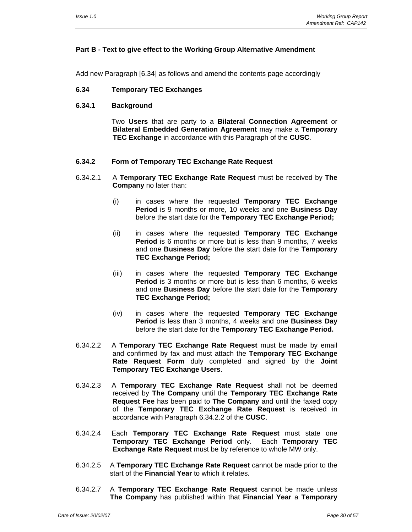#### **Part B - Text to give effect to the Working Group Alternative Amendment**

Add new Paragraph [6.34] as follows and amend the contents page accordingly

#### **6.34 Temporary TEC Exchanges**

**6.34.1 Background** 

 Two **Users** that are party to a **Bilateral Connection Agreement** or **Bilateral Embedded Generation Agreement** may make a **Temporary TEC Exchange** in accordance with this Paragraph of the **CUSC**.

#### **6.34.2 Form of Temporary TEC Exchange Rate Request**

- 6.34.2.1 A **Temporary TEC Exchange Rate Request** must be received by **The Company** no later than:
	- (i) in cases where the requested **Temporary TEC Exchange Period** is 9 months or more, 10 weeks and one **Business Day** before the start date for the **Temporary TEC Exchange Period;**
	- (ii) in cases where the requested **Temporary TEC Exchange Period** is 6 months or more but is less than 9 months, 7 weeks and one **Business Day** before the start date for the **Temporary TEC Exchange Period;**
	- (iii) in cases where the requested **Temporary TEC Exchange Period** is 3 months or more but is less than 6 months, 6 weeks and one **Business Day** before the start date for the **Temporary TEC Exchange Period;**
	- (iv) in cases where the requested **Temporary TEC Exchange Period** is less than 3 months, 4 weeks and one **Business Day** before the start date for the **Temporary TEC Exchange Period.**
- 6.34.2.2 A **Temporary TEC Exchange Rate Request** must be made by email and confirmed by fax and must attach the **Temporary TEC Exchange Rate Request Form** duly completed and signed by the **Joint Temporary TEC Exchange Users**.
- 6.34.2.3 A **Temporary TEC Exchange Rate Request** shall not be deemed received by **The Company** until the **Temporary TEC Exchange Rate Request Fee** has been paid to **The Company** and until the faxed copy of the **Temporary TEC Exchange Rate Request** is received in accordance with Paragraph 6.34.2.2 of the **CUSC**.
- 6.34.2.4 Each **Temporary TEC Exchange Rate Request** must state one **Temporary TEC Exchange Period** only. Each **Temporary TEC Exchange Rate Request** must be by reference to whole MW only.
- 6.34.2.5 A **Temporary TEC Exchange Rate Request** cannot be made prior to the start of the **Financial Year** to which it relates.
- 6.34.2.7 A **Temporary TEC Exchange Rate Request** cannot be made unless **The Company** has published within that **Financial Year** a **Temporary**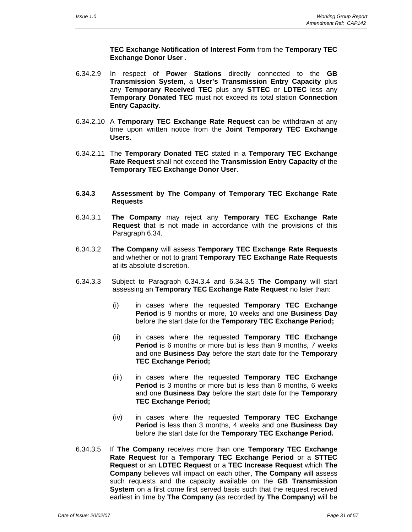**TEC Exchange Notification of Interest Form** from the **Temporary TEC Exchange Donor User** .

- 6.34.2.9 In respect of **Power Stations** directly connected to the **GB Transmission System**, a **User's Transmission Entry Capacity** plus any **Temporary Received TEC** plus any **STTEC** or **LDTEC** less any **Temporary Donated TEC** must not exceed its total station **Connection Entry Capacity**.
- 6.34.2.10 A **Temporary TEC Exchange Rate Request** can be withdrawn at any time upon written notice from the **Joint Temporary TEC Exchange Users.**
- 6.34.2.11 The **Temporary Donated TEC** stated in a **Temporary TEC Exchange Rate Request** shall not exceed the **Transmission Entry Capacity** of the **Temporary TEC Exchange Donor User**.
- **6.34.3 Assessment by The Company of Temporary TEC Exchange Rate Requests**
- 6.34.3.1 **The Company** may reject any **Temporary TEC Exchange Rate Request** that is not made in accordance with the provisions of this Paragraph 6.34.
- 6.34.3.2 **The Company** will assess **Temporary TEC Exchange Rate Requests** and whether or not to grant **Temporary TEC Exchange Rate Requests**  at its absolute discretion.
- 6.34.3.3 Subject to Paragraph 6.34.3.4 and 6.34.3.5 **The Company** will start assessing an **Temporary TEC Exchange Rate Request** no later than:
	- (i) in cases where the requested **Temporary TEC Exchange Period** is 9 months or more, 10 weeks and one **Business Day** before the start date for the **Temporary TEC Exchange Period;**
	- (ii) in cases where the requested **Temporary TEC Exchange Period** is 6 months or more but is less than 9 months, 7 weeks and one **Business Day** before the start date for the **Temporary TEC Exchange Period;**
	- (iii) in cases where the requested **Temporary TEC Exchange Period** is 3 months or more but is less than 6 months, 6 weeks and one **Business Day** before the start date for the **Temporary TEC Exchange Period;**
	- (iv) in cases where the requested **Temporary TEC Exchange Period** is less than 3 months, 4 weeks and one **Business Day** before the start date for the **Temporary TEC Exchange Period.**
- 6.34.3.5 If **The Company** receives more than one **Temporary TEC Exchange Rate Request** for a **Temporary TEC Exchange Period** or a **STTEC Request** or an **LDTEC Request** or a **TEC Increase Request** which **The Company** believes will impact on each other, **The Company** will assess such requests and the capacity available on the **GB Transmission System** on a first come first served basis such that the request received earliest in time by **The Company** (as recorded by **The Company**) will be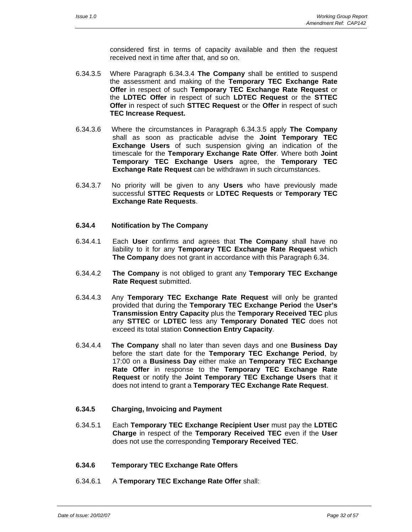considered first in terms of capacity available and then the request received next in time after that, and so on.

- 6.34.3.5 Where Paragraph 6.34.3.4 **The Company** shall be entitled to suspend the assessment and making of the **Temporary TEC Exchange Rate Offer** in respect of such **Temporary TEC Exchange Rate Request** or the **LDTEC Offer** in respect of such **LDTEC Request** or the **STTEC Offer** in respect of such **STTEC Request** or the **Offer** in respect of such **TEC Increase Request.**
- 6.34.3.6 Where the circumstances in Paragraph 6.34.3.5 apply **The Company** shall as soon as practicable advise the **Joint Temporary TEC Exchange Users** of such suspension giving an indication of the timescale for the **Temporary Exchange Rate Offer**. Where both **Joint Temporary TEC Exchange Users** agree, the **Temporary TEC Exchange Rate Request** can be withdrawn in such circumstances.
- 6.34.3.7 No priority will be given to any **Users** who have previously made successful **STTEC Requests** or **LDTEC Requests** or **Temporary TEC Exchange Rate Requests**.
- **6.34.4 Notification by The Company**
- 6.34.4.1 Each **User** confirms and agrees that **The Company** shall have no liability to it for any **Temporary TEC Exchange Rate Request** which **The Company** does not grant in accordance with this Paragraph 6.34.
- 6.34.4.2 **The Company** is not obliged to grant any **Temporary TEC Exchange Rate Request** submitted.
- 6.34.4.3 Any **Temporary TEC Exchange Rate Request** will only be granted provided that during the **Temporary TEC Exchange Period** the **User's Transmission Entry Capacity** plus the **Temporary Received TEC** plus any **STTEC** or **LDTEC** less any **Temporary Donated TEC** does not exceed its total station **Connection Entry Capacity**.
- 6.34.4.4 **The Company** shall no later than seven days and one **Business Day**  before the start date for the **Temporary TEC Exchange Period**, by 17:00 on a **Business Day** either make an **Temporary TEC Exchange Rate Offer** in response to the **Temporary TEC Exchange Rate Request** or notify the **Joint Temporary TEC Exchange Users** that it does not intend to grant a **Temporary TEC Exchange Rate Request**.
- **6.34.5 Charging, Invoicing and Payment**
- 6.34.5.1 Each **Temporary TEC Exchange Recipient User** must pay the **LDTEC Charge** in respect of the **Temporary Received TEC** even if the **User** does not use the corresponding **Temporary Received TEC**.
- **6.34.6 Temporary TEC Exchange Rate Offers**
- 6.34.6.1 A **Temporary TEC Exchange Rate Offer** shall: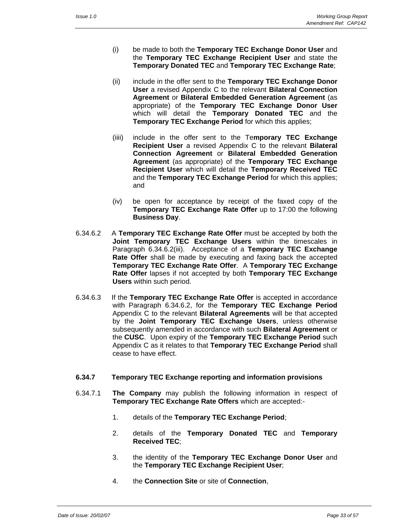- (i) be made to both the **Temporary TEC Exchange Donor User** and the **Temporary TEC Exchange Recipient User** and state the **Temporary Donated TEC** and **Temporary TEC Exchange Rate**;
- (ii) include in the offer sent to the **Temporary TEC Exchange Donor User** a revised Appendix C to the relevant **Bilateral Connection Agreement** or **Bilateral Embedded Generation Agreement** (as appropriate) of the **Temporary TEC Exchange Donor User** which will detail the **Temporary Donated TEC** and the **Temporary TEC Exchange Period** for which this applies;
- (iiii) include in the offer sent to the Te**mporary TEC Exchange Recipient User** a revised Appendix C to the relevant **Bilateral Connection Agreement** or **Bilateral Embedded Generation Agreement** (as appropriate) of the **Temporary TEC Exchange Recipient User** which will detail the **Temporary Received TEC** and the **Temporary TEC Exchange Period** for which this applies; and
- (iv) be open for acceptance by receipt of the faxed copy of the **Temporary TEC Exchange Rate Offer** up to 17:00 the following **Business Day**.
- 6.34.6.2 A **Temporary TEC Exchange Rate Offer** must be accepted by both the **Joint Temporary TEC Exchange Users** within the timescales in Paragraph 6.34.6.2(iii). Acceptance of a **Temporary TEC Exchange Rate Offer** shall be made by executing and faxing back the accepted **Temporary TEC Exchange Rate Offer**. A **Temporary TEC Exchange Rate Offer** lapses if not accepted by both **Temporary TEC Exchange Users** within such period.
- 6.34.6.3 If the **Temporary TEC Exchange Rate Offer** is accepted in accordance with Paragraph 6.34.6.2, for the **Temporary TEC Exchange Period** Appendix C to the relevant **Bilateral Agreements** will be that accepted by the **Joint Temporary TEC Exchange Users**, unless otherwise subsequently amended in accordance with such **Bilateral Agreement** or the **CUSC**. Upon expiry of the **Temporary TEC Exchange Period** such Appendix C as it relates to that **Temporary TEC Exchange Period** shall cease to have effect.

#### **6.34.7 Temporary TEC Exchange reporting and information provisions**

- 6.34.7.1 **The Company** may publish the following information in respect of **Temporary TEC Exchange Rate Offers** which are accepted:-
	- 1. details of the **Temporary TEC Exchange Period**;
	- 2. details of the **Temporary Donated TEC** and **Temporary Received TEC**;
	- 3. the identity of the **Temporary TEC Exchange Donor User** and the **Temporary TEC Exchange Recipient User**;
	- 4. the **Connection Site** or site of **Connection**,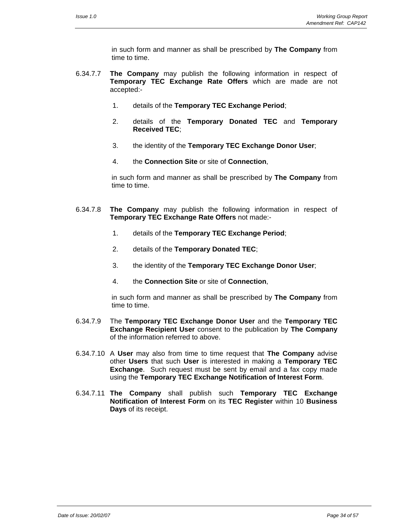in such form and manner as shall be prescribed by **The Company** from time to time.

- 6.34.7.7 **The Company** may publish the following information in respect of **Temporary TEC Exchange Rate Offers** which are made are not accepted:-
	- 1. details of the **Temporary TEC Exchange Period**;
	- 2. details of the **Temporary Donated TEC** and **Temporary Received TEC**;
	- 3. the identity of the **Temporary TEC Exchange Donor User**;
	- 4. the **Connection Site** or site of **Connection**,

 in such form and manner as shall be prescribed by **The Company** from time to time.

- 6.34.7.8 **The Company** may publish the following information in respect of **Temporary TEC Exchange Rate Offers** not made:-
	- 1. details of the **Temporary TEC Exchange Period**;
	- 2. details of the **Temporary Donated TEC**;
	- 3. the identity of the **Temporary TEC Exchange Donor User**;
	- 4. the **Connection Site** or site of **Connection**,

 in such form and manner as shall be prescribed by **The Company** from time to time.

- 6.34.7.9 The **Temporary TEC Exchange Donor User** and the **Temporary TEC Exchange Recipient User** consent to the publication by **The Company** of the information referred to above.
- 6.34.7.10 A **User** may also from time to time request that **The Company** advise other **Users** that such **User** is interested in making a **Temporary TEC Exchange**. Such request must be sent by email and a fax copy made using the **Temporary TEC Exchange Notification of Interest Form**.
- 6.34.7.11 **The Company** shall publish such **Temporary TEC Exchange Notification of Interest Form** on its **TEC Register** within 10 **Business Days** of its receipt.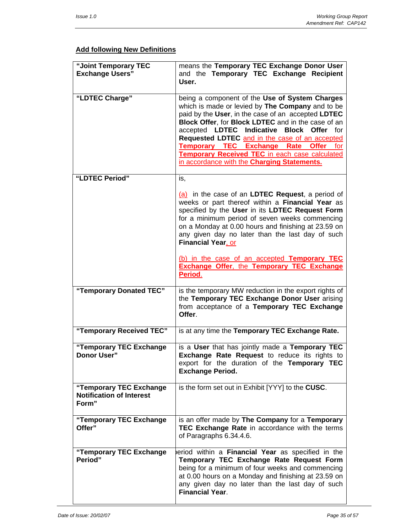# **Add following New Definitions**

| "Joint Temporary TEC<br><b>Exchange Users"</b>                      | means the Temporary TEC Exchange Donor User<br>and the Temporary TEC Exchange Recipient<br>User.                                                                                                                                                                                                                                                                                                                                                               |
|---------------------------------------------------------------------|----------------------------------------------------------------------------------------------------------------------------------------------------------------------------------------------------------------------------------------------------------------------------------------------------------------------------------------------------------------------------------------------------------------------------------------------------------------|
| "LDTEC Charge"                                                      | being a component of the Use of System Charges<br>which is made or levied by The Company and to be<br>paid by the User, in the case of an accepted LDTEC<br>Block Offer, for Block LDTEC and in the case of an<br>accepted LDTEC Indicative Block Offer for<br>Requested LDTEC and in the case of an accepted<br>Temporary TEC Exchange Rate Offer for<br><b>Temporary Received TEC</b> in each case calculated<br>in accordance with the Charging Statements. |
| "LDTEC Period"                                                      | is,                                                                                                                                                                                                                                                                                                                                                                                                                                                            |
|                                                                     | (a) in the case of an LDTEC Request, a period of<br>weeks or part thereof within a Financial Year as<br>specified by the User in its LDTEC Request Form<br>for a minimum period of seven weeks commencing<br>on a Monday at 0.00 hours and finishing at 23.59 on<br>any given day no later than the last day of such<br><b>Financial Year, or</b>                                                                                                              |
|                                                                     | (b) in the case of an accepted Temporary TEC<br><b>Exchange Offer, the Temporary TEC Exchange</b><br>Period.                                                                                                                                                                                                                                                                                                                                                   |
| "Temporary Donated TEC"                                             | is the temporary MW reduction in the export rights of<br>the Temporary TEC Exchange Donor User arising<br>from acceptance of a Temporary TEC Exchange<br>Offer.                                                                                                                                                                                                                                                                                                |
| "Temporary Received TEC"                                            | is at any time the Temporary TEC Exchange Rate.                                                                                                                                                                                                                                                                                                                                                                                                                |
| "Temporary TEC Exchange<br>Donor User"                              | is a User that has jointly made a Temporary TEC<br>Exchange Rate Request to reduce its rights to<br>export for the duration of the Temporary TEC<br><b>Exchange Period.</b>                                                                                                                                                                                                                                                                                    |
| "Temporary TEC Exchange<br><b>Notification of Interest</b><br>Form" | is the form set out in Exhibit [YYY] to the CUSC.                                                                                                                                                                                                                                                                                                                                                                                                              |
| "Temporary TEC Exchange<br>Offer"                                   | is an offer made by The Company for a Temporary<br>TEC Exchange Rate in accordance with the terms<br>of Paragraphs 6.34.4.6.                                                                                                                                                                                                                                                                                                                                   |
| "Temporary TEC Exchange<br>Period"                                  | eriod within a Financial Year as specified in the<br>Temporary TEC Exchange Rate Request Form<br>being for a minimum of four weeks and commencing<br>at 0.00 hours on a Monday and finishing at 23.59 on<br>any given day no later than the last day of such<br><b>Financial Year.</b>                                                                                                                                                                         |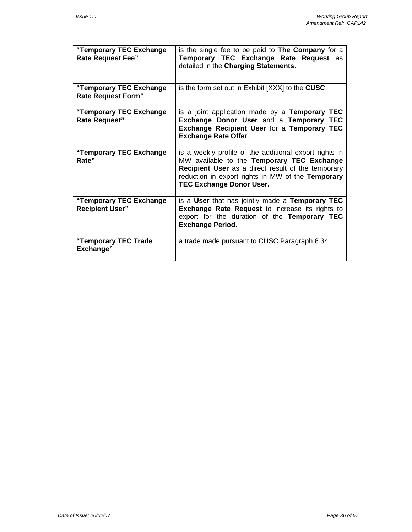| "Temporary TEC Exchange<br><b>Rate Request Fee"</b>  | is the single fee to be paid to <b>The Company</b> for a<br>Temporary TEC Exchange Rate Request as<br>detailed in the Charging Statements.                                                                                                                |  |  |
|------------------------------------------------------|-----------------------------------------------------------------------------------------------------------------------------------------------------------------------------------------------------------------------------------------------------------|--|--|
| "Temporary TEC Exchange<br><b>Rate Request Form"</b> | is the form set out in Exhibit [XXX] to the <b>CUSC</b> .                                                                                                                                                                                                 |  |  |
| "Temporary TEC Exchange<br><b>Rate Request"</b>      | is a joint application made by a Temporary TEC<br>Exchange Donor User and a Temporary TEC<br><b>Exchange Recipient User for a Temporary TEC</b><br><b>Exchange Rate Offer.</b>                                                                            |  |  |
| "Temporary TEC Exchange<br>Rate"                     | is a weekly profile of the additional export rights in<br>MW available to the Temporary TEC Exchange<br><b>Recipient User</b> as a direct result of the temporary<br>reduction in export rights in MW of the Temporary<br><b>TEC Exchange Donor User.</b> |  |  |
| "Temporary TEC Exchange<br><b>Recipient User"</b>    | is a User that has jointly made a Temporary TEC<br><b>Exchange Rate Request to increase its rights to</b><br>export for the duration of the Temporary TEC<br><b>Exchange Period.</b>                                                                      |  |  |
| "Temporary TEC Trade<br>Exchange"                    | a trade made pursuant to CUSC Paragraph 6.34                                                                                                                                                                                                              |  |  |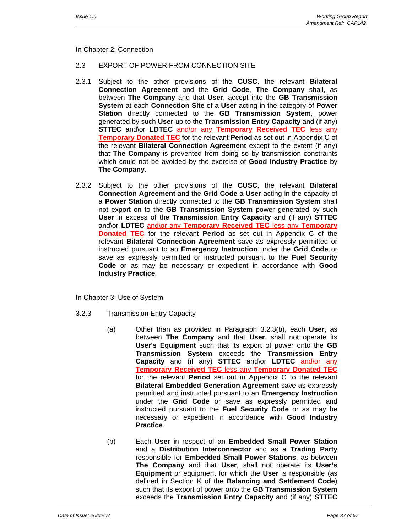In Chapter 2: Connection

#### 2.3 EXPORT OF POWER FROM CONNECTION SITE

- 2.3.1 Subject to the other provisions of the **CUSC**, the relevant **Bilateral Connection Agreement** and the **Grid Code**, **The Company** shall, as between **The Company** and that **User**, accept into the **GB Transmission System** at each **Connection Site** of a **User** acting in the category of **Power Station** directly connected to the **GB Transmission System**, power generated by such **User** up to the **Transmission Entry Capacity** and (if any) **STTEC** and\or **LDTEC** and\or any **Temporary Received TEC** less any **Temporary Donated TEC** for the relevant **Period** as set out in Appendix C of the relevant **Bilateral Connection Agreement** except to the extent (if any) that **The Company** is prevented from doing so by transmission constraints which could not be avoided by the exercise of **Good Industry Practice** by **The Company**.
- 2.3.2 Subject to the other provisions of the **CUSC**, the relevant **Bilateral Connection Agreement** and the **Grid Code** a **User** acting in the capacity of a **Power Station** directly connected to the **GB Transmission System** shall not export on to the **GB Transmission System** power generated by such **User** in excess of the **Transmission Entry Capacity** and (if any) **STTEC** and\or **LDTEC** and\or any **Temporary Received TEC** less any **Temporary Donated TEC** for the relevant **Period** as set out in Appendix C of the relevant **Bilateral Connection Agreement** save as expressly permitted or instructed pursuant to an **Emergency Instruction** under the **Grid Code** or save as expressly permitted or instructed pursuant to the **Fuel Security Code** or as may be necessary or expedient in accordance with **Good Industry Practice**.

In Chapter 3: Use of System

- 3.2.3 Transmission Entry Capacity
	- (a) Other than as provided in Paragraph 3.2.3(b), each **User**, as between **The Company** and that **User**, shall not operate its **User's Equipment** such that its export of power onto the **GB Transmission System** exceeds the **Transmission Entry Capacity** and (if any) **STTEC** and\or **LDTEC** and\or any **Temporary Received TEC** less any **Temporary Donated TEC** for the relevant **Period** set out in Appendix C to the relevant **Bilateral Embedded Generation Agreement** save as expressly permitted and instructed pursuant to an **Emergency Instruction** under the **Grid Code** or save as expressly permitted and instructed pursuant to the **Fuel Security Code** or as may be necessary or expedient in accordance with **Good Industry Practice**.
	- (b) Each **User** in respect of an **Embedded Small Power Station** and a **Distribution Interconnector** and as a **Trading Party** responsible for **Embedded Small Power Stations**, as between **The Company** and that **User**, shall not operate its **User's Equipment** or equipment for which the **User** is responsible (as defined in Section K of the **Balancing and Settlement Code**) such that its export of power onto the **GB Transmission System** exceeds the **Transmission Entry Capacity** and (if any) **STTEC**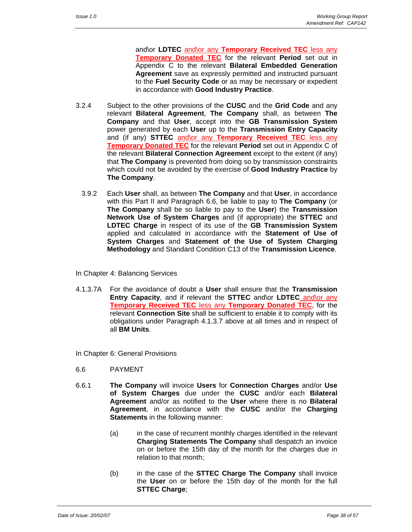and\or **LDTEC** and\or any **Temporary Received TEC** less any **Temporary Donated TEC** for the relevant **Period** set out in Appendix C to the relevant **Bilateral Embedded Generation Agreement** save as expressly permitted and instructed pursuant to the **Fuel Security Code** or as may be necessary or expedient in accordance with **Good Industry Practice**.

- 3.2.4 Subject to the other provisions of the **CUSC** and the **Grid Code** and any relevant **Bilateral Agreement**, **The Company** shall, as between **The Company** and that **User**, accept into the **GB Transmission System** power generated by each **User** up to the **Transmission Entry Capacity** and (if any) **STTEC** and\or any **Temporary Received TEC** less any **Temporary Donated TEC** for the relevant **Period** set out in Appendix C of the relevant **Bilateral Connection Agreement** except to the extent (if any) that **The Company** is prevented from doing so by transmission constraints which could not be avoided by the exercise of **Good Industry Practice** by **The Company**.
	- 3.9.2 Each **User** shall, as between **The Company** and that **User**, in accordance with this Part II and Paragraph 6.6, be liable to pay to **The Company** (or **The Company** shall be so liable to pay to the **User**) the **Transmission Network Use of System Charges** and (if appropriate) the **STTEC** and **LDTEC Charge** in respect of its use of the **GB Transmission System** applied and calculated in accordance with the **Statement of Use of System Charges** and **Statement of the Use of System Charging Methodology** and Standard Condition C13 of the **Transmission Licence**.
- In Chapter 4: Balancing Services
- 4.1.3.7A For the avoidance of doubt a **User** shall ensure that the **Transmission Entry Capacity**, and if relevant the **STTEC** and\or **LDTEC** and\or any **Temporary Received TEC** less any **Temporary Donated TEC**, for the relevant **Connection Site** shall be sufficient to enable it to comply with its obligations under Paragraph 4.1.3.7 above at all times and in respect of all **BM Units**.
- In Chapter 6: General Provisions
- 6.6 PAYMENT
- 6.6.1 **The Company** will invoice **Users** for **Connection Charges** and/or **Use of System Charges** due under the **CUSC** and/or each **Bilateral Agreement** and/or as notified to the **User** where there is no **Bilateral Agreement**, in accordance with the **CUSC** and/or the **Charging Statements** in the following manner:
	- (a) in the case of recurrent monthly charges identified in the relevant **Charging Statements The Company** shall despatch an invoice on or before the 15th day of the month for the charges due in relation to that month;
	- (b) in the case of the **STTEC Charge The Company** shall invoice the **User** on or before the 15th day of the month for the full **STTEC Charge**;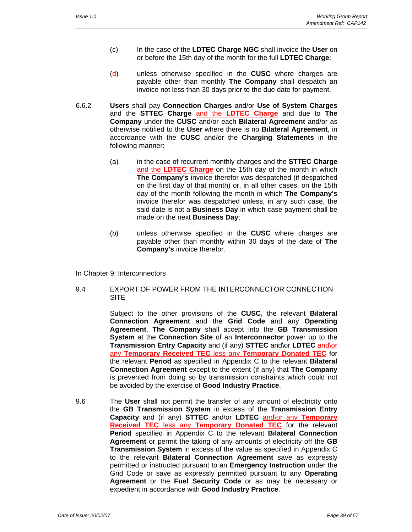- (c) In the case of the **LDTEC Charge NGC** shall invoice the **User** on or before the 15th day of the month for the full **LDTEC Charge**;
- (d) unless otherwise specified in the **CUSC** where charges are payable other than monthly **The Company** shall despatch an invoice not less than 30 days prior to the due date for payment.
- 6.6.2 **Users** shall pay **Connection Charges** and/or **Use of System Charges**  and the **STTEC Charge** and the **LDTEC Charge** and due to **The Company** under the **CUSC** and/or each **Bilateral Agreement** and/or as otherwise notified to the **User** where there is no **Bilateral Agreement**, in accordance with the **CUSC** and/or the **Charging Statements** in the following manner:
	- (a) in the case of recurrent monthly charges and the **STTEC Charge** and the **LDTEC Charge** on the 15th day of the month in which **The Company's** invoice therefor was despatched (if despatched on the first day of that month) or, in all other cases, on the 15th day of the month following the month in which **The Company's** invoice therefor was despatched unless, in any such case, the said date is not a **Business Day** in which case payment shall be made on the next **Business Day**;
	- (b) unless otherwise specified in the **CUSC** where charges are payable other than monthly within 30 days of the date of **The Company's** invoice therefor.
- In Chapter 9: Interconnectors
- 9.4 EXPORT OF POWER FROM THE INTERCONNECTOR CONNECTION **SITE**

 Subject to the other provisions of the **CUSC**, the relevant **Bilateral Connection Agreement** and the **Grid Code** and any **Operating Agreement**, **The Company** shall accept into the **GB Transmission System** at the **Connection Site** of an **Interconnector** power up to the **Transmission Entry Capacity** and (if any) **STTEC** and\or **LDTEC** and\or any **Temporary Received TEC** less any **Temporary Donated TEC** for the relevant **Period** as specified in Appendix C to the relevant **Bilateral Connection Agreement** except to the extent (if any) that **The Company** is prevented from doing so by transmission constraints which could not be avoided by the exercise of **Good Industry Practice**.

9.6 The **User** shall not permit the transfer of any amount of electricity onto the **GB Transmission System** in excess of the **Transmission Entry Capacity** and (if any) **STTEC** and\or **LDTEC** and\or any **Temporary Received TEC** less any **Temporary Donated TEC** for the relevant **Period** specified in Appendix C to the relevant **Bilateral Connection Agreement** or permit the taking of any amounts of electricity off the **GB Transmission System** in excess of the value as specified in Appendix C to the relevant **Bilateral Connection Agreement** save as expressly permitted or instructed pursuant to an **Emergency Instruction** under the Grid Code or save as expressly permitted pursuant to any **Operating Agreement** or the **Fuel Security Code** or as may be necessary or expedient in accordance with **Good Industry Practice**.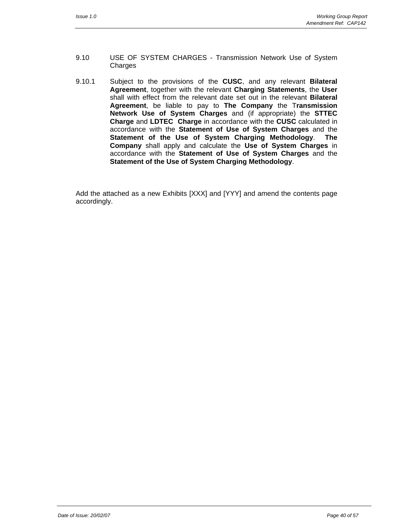- 9.10 USE OF SYSTEM CHARGES Transmission Network Use of System **Charges**
- 9.10.1 Subject to the provisions of the **CUSC**, and any relevant **Bilateral Agreement**, together with the relevant **Charging Statements**, the **User** shall with effect from the relevant date set out in the relevant **Bilateral Agreement**, be liable to pay to **The Company** the T**ransmission Network Use of System Charges** and (if appropriate) the **STTEC Charge** and **LDTEC Charge** in accordance with the **CUSC** calculated in accordance with the **Statement of Use of System Charges** and the **Statement of the Use of System Charging Methodology**. **The Company** shall apply and calculate the **Use of System Charges** in accordance with the **Statement of Use of System Charges** and the **Statement of the Use of System Charging Methodology**.

 Add the attached as a new Exhibits [XXX] and [YYY] and amend the contents page accordingly.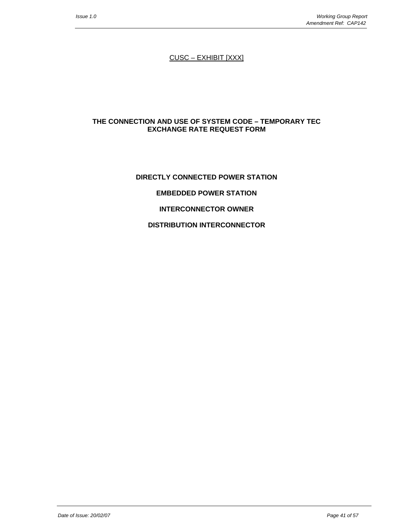CUSC – EXHIBIT [XXX]

#### **THE CONNECTION AND USE OF SYSTEM CODE – TEMPORARY TEC EXCHANGE RATE REQUEST FORM**

# **DIRECTLY CONNECTED POWER STATION EMBEDDED POWER STATION INTERCONNECTOR OWNER DISTRIBUTION INTERCONNECTOR**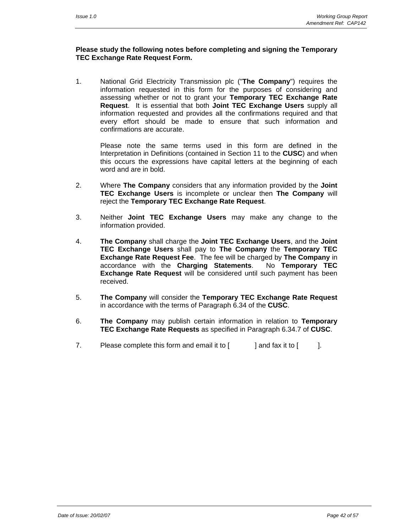#### **Please study the following notes before completing and signing the Temporary TEC Exchange Rate Request Form.**

1. National Grid Electricity Transmission plc ("**The Company**") requires the information requested in this form for the purposes of considering and assessing whether or not to grant your **Temporary TEC Exchange Rate Request**. It is essential that both **Joint TEC Exchange Users** supply all information requested and provides all the confirmations required and that every effort should be made to ensure that such information and confirmations are accurate.

 Please note the same terms used in this form are defined in the Interpretation in Definitions (contained in Section 11 to the **CUSC**) and when this occurs the expressions have capital letters at the beginning of each word and are in bold.

- 2. Where **The Company** considers that any information provided by the **Joint TEC Exchange Users** is incomplete or unclear then **The Company** will reject the **Temporary TEC Exchange Rate Request**.
- 3. Neither **Joint TEC Exchange Users** may make any change to the information provided.
- 4. **The Company** shall charge the **Joint TEC Exchange Users**, and the **Joint TEC Exchange Users** shall pay to **The Company** the **Temporary TEC Exchange Rate Request Fee**. The fee will be charged by **The Company** in accordance with the **Charging Statements**. No **Temporary TEC Exchange Rate Request** will be considered until such payment has been received.
- 5. **The Company** will consider the **Temporary TEC Exchange Rate Request**  in accordance with the terms of Paragraph 6.34 of the **CUSC**.
- 6. **The Company** may publish certain information in relation to **Temporary TEC Exchange Rate Requests** as specified in Paragraph 6.34.7 of **CUSC**.
- 7. Please complete this form and email it to  $\lceil \cdot \cdot \rceil$  and fax it to  $\lceil \cdot \cdot \rceil$ .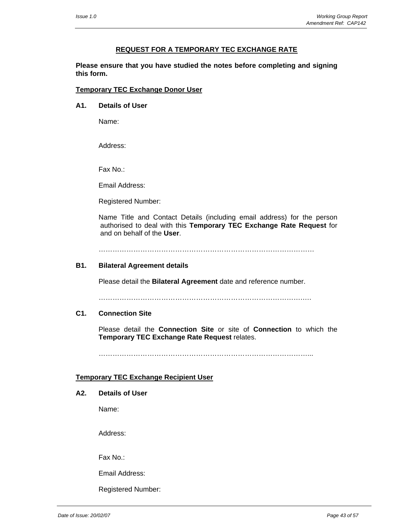#### **REQUEST FOR A TEMPORARY TEC EXCHANGE RATE**

**Please ensure that you have studied the notes before completing and signing this form.** 

#### **Temporary TEC Exchange Donor User**

**A1. Details of User**

Name:

Address:

Fax No.:

Email Address:

Registered Number:

Name Title and Contact Details (including email address) for the person authorised to deal with this **Temporary TEC Exchange Rate Request** for and on behalf of the **User**.

…………………………………………………………………………………

#### **B1. Bilateral Agreement details**

Please detail the **Bilateral Agreement** date and reference number.

…………………………………………………………………………….….

#### **C1. Connection Site**

Please detail the **Connection Site** or site of **Connection** to which the **Temporary TEC Exchange Rate Request** relates.

………………………………………………………………………………...

#### **Temporary TEC Exchange Recipient User**

#### **A2. Details of User**

Name:

Address:

Fax No.:

Email Address:

Registered Number: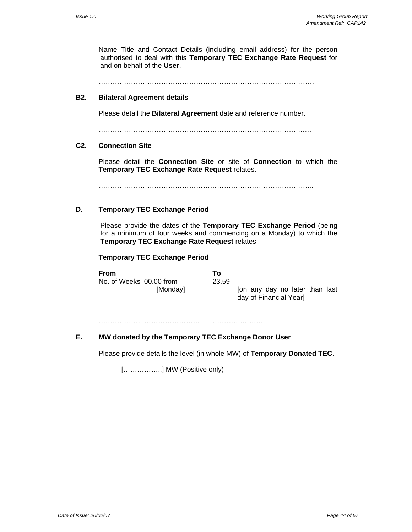Name Title and Contact Details (including email address) for the person authorised to deal with this **Temporary TEC Exchange Rate Request** for and on behalf of the **User**.

…………………………………………………………………………………

#### **B2. Bilateral Agreement details**

Please detail the **Bilateral Agreement** date and reference number.

…………………………………………………………………………….….

#### **C2. Connection Site**

Please detail the **Connection Site** or site of **Connection** to which the **Temporary TEC Exchange Rate Request** relates.

………………………………………………………………………………...

#### **D. Temporary TEC Exchange Period**

Please provide the dates of the **Temporary TEC Exchange Period** (being for a minimum of four weeks and commencing on a Monday) to which the **Temporary TEC Exchange Rate Request** relates.

#### **Temporary TEC Exchange Period**

**From** No. of Weeks 00.00 from

| 3<br>é. | с |
|---------|---|

[Monday] [on any day no later than last day of Financial Year]

……………… …………………… ………….………

#### **E. MW donated by the Temporary TEC Exchange Donor User**

Please provide details the level (in whole MW) of **Temporary Donated TEC**.

[……………..] MW (Positive only)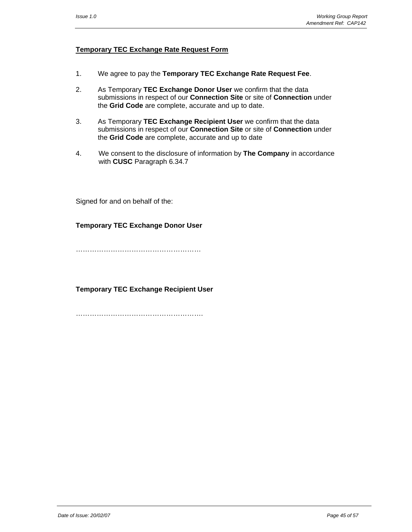#### **Temporary TEC Exchange Rate Request Form**

- 1. We agree to pay the **Temporary TEC Exchange Rate Request Fee**.
- 2. As Temporary **TEC Exchange Donor User** we confirm that the data submissions in respect of our **Connection Site** or site of **Connection** under the **Grid Code** are complete, accurate and up to date.
- 3. As Temporary **TEC Exchange Recipient User** we confirm that the data submissions in respect of our **Connection Site** or site of **Connection** under the **Grid Code** are complete, accurate and up to date
- 4. We consent to the disclosure of information by **The Company** in accordance with **CUSC** Paragraph 6.34.7

Signed for and on behalf of the:

#### **Temporary TEC Exchange Donor User**

………………………………………………

**Temporary TEC Exchange Recipient User** 

………………………………………………………………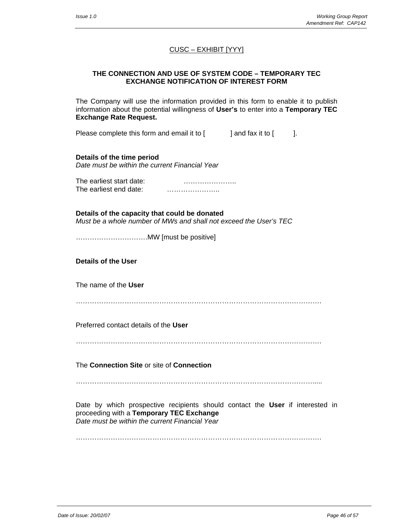# CUSC – EXHIBIT [YYY]

#### **THE CONNECTION AND USE OF SYSTEM CODE – TEMPORARY TEC EXCHANGE NOTIFICATION OF INTEREST FORM**

The Company will use the information provided in this form to enable it to publish information about the potential willingness of **User's** to enter into a **Temporary TEC Exchange Rate Request.**

Please complete this form and email it to  $\begin{bmatrix} 1 & 1 \end{bmatrix}$  and fax it to  $\begin{bmatrix} 1 & 1 \end{bmatrix}$ .

**Details of the time period**  *Date must be within the current Financial Year* 

The earliest start date: ………………….. The earliest end date: **Earling Contract Executive Executive Contract Property** 

**Details of the capacity that could be donated**  *Must be a whole number of MWs and shall not exceed the User's TEC* 

………………………….MW [must be positive]

**Details of the User**  The name of the **User** ……………………………………………………………………………………………. Preferred contact details of the **User** ……………………………………………………………………………………………. The **Connection Site** or site of **Connection**

………………………………………………………………………………………….....

Date by which prospective recipients should contact the **User** if interested in proceeding with a **Temporary TEC Exchange**  *Date must be within the current Financial Year* 

…………………………………………………………………………………………….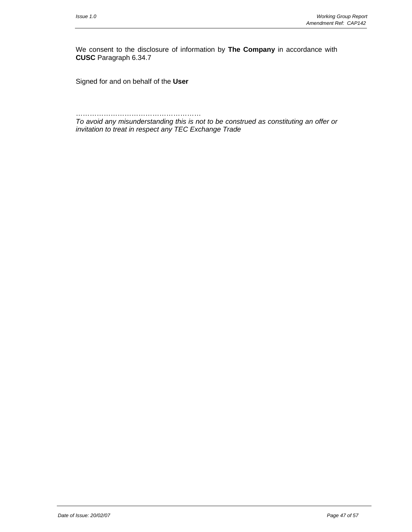We consent to the disclosure of information by **The Company** in accordance with **CUSC** Paragraph 6.34.7

Signed for and on behalf of the **User**

……………………………………………… *To avoid any misunderstanding this is not to be construed as constituting an offer or invitation to treat in respect any TEC Exchange Trade*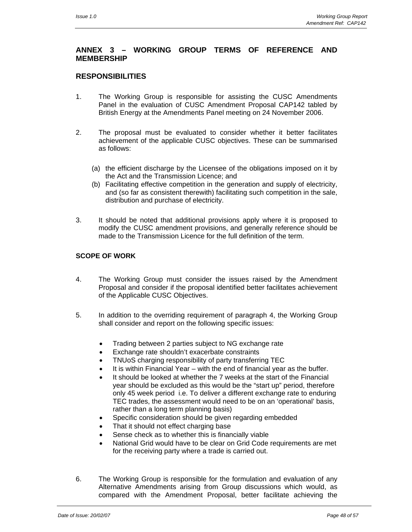## **ANNEX 3 – WORKING GROUP TERMS OF REFERENCE AND MEMBERSHIP**

### **RESPONSIBILITIES**

- 1. The Working Group is responsible for assisting the CUSC Amendments Panel in the evaluation of CUSC Amendment Proposal CAP142 tabled by British Energy at the Amendments Panel meeting on 24 November 2006.
- 2. The proposal must be evaluated to consider whether it better facilitates achievement of the applicable CUSC objectives. These can be summarised as follows:
	- (a) the efficient discharge by the Licensee of the obligations imposed on it by the Act and the Transmission Licence; and
	- (b) Facilitating effective competition in the generation and supply of electricity, and (so far as consistent therewith) facilitating such competition in the sale, distribution and purchase of electricity.
- 3. It should be noted that additional provisions apply where it is proposed to modify the CUSC amendment provisions, and generally reference should be made to the Transmission Licence for the full definition of the term.

#### **SCOPE OF WORK**

- 4. The Working Group must consider the issues raised by the Amendment Proposal and consider if the proposal identified better facilitates achievement of the Applicable CUSC Objectives.
- 5. In addition to the overriding requirement of paragraph 4, the Working Group shall consider and report on the following specific issues:
	- Trading between 2 parties subject to NG exchange rate
	- Exchange rate shouldn't exacerbate constraints
	- TNUoS charging responsibility of party transferring TEC
	- It is within Financial Year with the end of financial year as the buffer.
	- It should be looked at whether the 7 weeks at the start of the Financial year should be excluded as this would be the "start up" period, therefore only 45 week period i.e. To deliver a different exchange rate to enduring TEC trades, the assessment would need to be on an 'operational' basis, rather than a long term planning basis)
	- Specific consideration should be given regarding embedded
	- That it should not effect charging base
	- Sense check as to whether this is financially viable
	- National Grid would have to be clear on Grid Code requirements are met for the receiving party where a trade is carried out.
- 6. The Working Group is responsible for the formulation and evaluation of any Alternative Amendments arising from Group discussions which would, as compared with the Amendment Proposal, better facilitate achieving the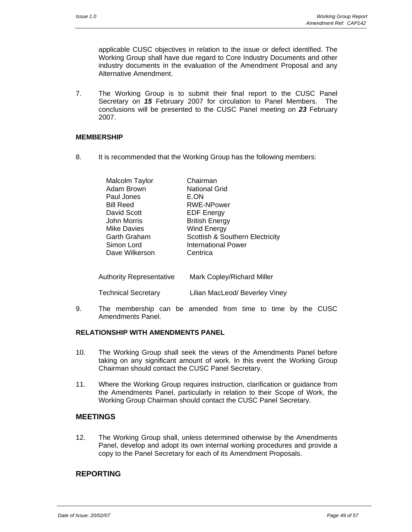applicable CUSC objectives in relation to the issue or defect identified. The Working Group shall have due regard to Core Industry Documents and other industry documents in the evaluation of the Amendment Proposal and any Alternative Amendment.

7. The Working Group is to submit their final report to the CUSC Panel Secretary on *15* February 2007 for circulation to Panel Members. The conclusions will be presented to the CUSC Panel meeting on *23* February 2007.

#### **MEMBERSHIP**

8. It is recommended that the Working Group has the following members:

| Malcolm Taylor     | Chairman                                   |
|--------------------|--------------------------------------------|
| Adam Brown         | <b>National Grid</b>                       |
| Paul Jones         | E.ON                                       |
| <b>Bill Reed</b>   | <b>RWE-NPower</b>                          |
| David Scott        | <b>EDF Energy</b>                          |
| John Morris        | <b>British Energy</b>                      |
| <b>Mike Davies</b> | <b>Wind Energy</b>                         |
| Garth Graham       | <b>Scottish &amp; Southern Electricity</b> |
| Simon Lord         | <b>International Power</b>                 |
| Dave Wilkerson     | Centrica                                   |
|                    |                                            |

| <b>Authority Representative</b> | Mark Copley/Richard Miller     |  |  |
|---------------------------------|--------------------------------|--|--|
| <b>Technical Secretary</b>      | Lilian MacLeod/ Beverley Viney |  |  |

9. The membership can be amended from time to time by the CUSC Amendments Panel.

#### **RELATIONSHIP WITH AMENDMENTS PANEL**

- 10. The Working Group shall seek the views of the Amendments Panel before taking on any significant amount of work. In this event the Working Group Chairman should contact the CUSC Panel Secretary.
- 11. Where the Working Group requires instruction, clarification or guidance from the Amendments Panel, particularly in relation to their Scope of Work, the Working Group Chairman should contact the CUSC Panel Secretary.

#### **MEETINGS**

12. The Working Group shall, unless determined otherwise by the Amendments Panel, develop and adopt its own internal working procedures and provide a copy to the Panel Secretary for each of its Amendment Proposals.

#### **REPORTING**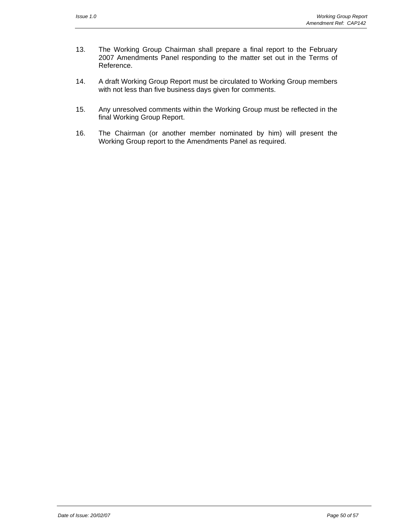- 13. The Working Group Chairman shall prepare a final report to the February 2007 Amendments Panel responding to the matter set out in the Terms of Reference.
- 14. A draft Working Group Report must be circulated to Working Group members with not less than five business days given for comments.
- 15. Any unresolved comments within the Working Group must be reflected in the final Working Group Report.
- 16. The Chairman (or another member nominated by him) will present the Working Group report to the Amendments Panel as required.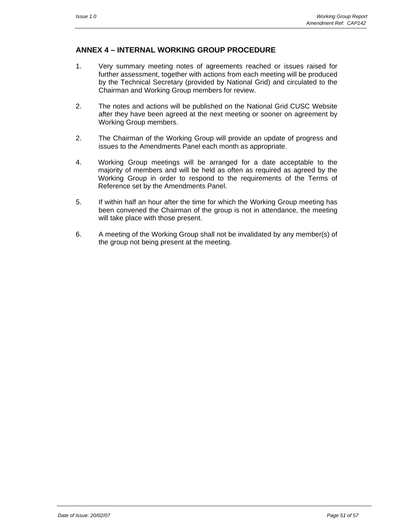### **ANNEX 4 – INTERNAL WORKING GROUP PROCEDURE**

- 1. Very summary meeting notes of agreements reached or issues raised for further assessment, together with actions from each meeting will be produced by the Technical Secretary (provided by National Grid) and circulated to the Chairman and Working Group members for review.
- 2. The notes and actions will be published on the National Grid CUSC Website after they have been agreed at the next meeting or sooner on agreement by Working Group members.
- 2. The Chairman of the Working Group will provide an update of progress and issues to the Amendments Panel each month as appropriate.
- 4. Working Group meetings will be arranged for a date acceptable to the majority of members and will be held as often as required as agreed by the Working Group in order to respond to the requirements of the Terms of Reference set by the Amendments Panel.
- 5. If within half an hour after the time for which the Working Group meeting has been convened the Chairman of the group is not in attendance, the meeting will take place with those present.
- 6. A meeting of the Working Group shall not be invalidated by any member(s) of the group not being present at the meeting.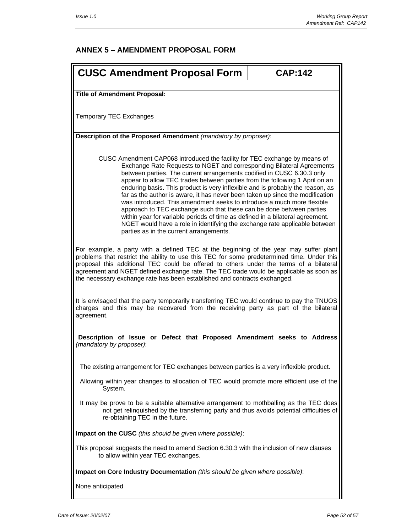# **ANNEX 5 – AMENDMENT PROPOSAL FORM**

| <b>CUSC Amendment Proposal Form</b>                                                                                                                                                                                                                                                                                                                                                                                                                                                                                                                                                                                                                                                                                                                                                                                                         | <b>CAP:142</b> |  |  |
|---------------------------------------------------------------------------------------------------------------------------------------------------------------------------------------------------------------------------------------------------------------------------------------------------------------------------------------------------------------------------------------------------------------------------------------------------------------------------------------------------------------------------------------------------------------------------------------------------------------------------------------------------------------------------------------------------------------------------------------------------------------------------------------------------------------------------------------------|----------------|--|--|
| <b>Title of Amendment Proposal:</b>                                                                                                                                                                                                                                                                                                                                                                                                                                                                                                                                                                                                                                                                                                                                                                                                         |                |  |  |
|                                                                                                                                                                                                                                                                                                                                                                                                                                                                                                                                                                                                                                                                                                                                                                                                                                             |                |  |  |
| <b>Temporary TEC Exchanges</b>                                                                                                                                                                                                                                                                                                                                                                                                                                                                                                                                                                                                                                                                                                                                                                                                              |                |  |  |
| Description of the Proposed Amendment (mandatory by proposer):                                                                                                                                                                                                                                                                                                                                                                                                                                                                                                                                                                                                                                                                                                                                                                              |                |  |  |
| CUSC Amendment CAP068 introduced the facility for TEC exchange by means of<br>Exchange Rate Requests to NGET and corresponding Bilateral Agreements<br>between parties. The current arrangements codified in CUSC 6.30.3 only<br>appear to allow TEC trades between parties from the following 1 April on an<br>enduring basis. This product is very inflexible and is probably the reason, as<br>far as the author is aware, it has never been taken up since the modification<br>was introduced. This amendment seeks to introduce a much more flexible<br>approach to TEC exchange such that these can be done between parties<br>within year for variable periods of time as defined in a bilateral agreement.<br>NGET would have a role in identifying the exchange rate applicable between<br>parties as in the current arrangements. |                |  |  |
| For example, a party with a defined TEC at the beginning of the year may suffer plant<br>problems that restrict the ability to use this TEC for some predetermined time. Under this<br>proposal this additional TEC could be offered to others under the terms of a bilateral<br>agreement and NGET defined exchange rate. The TEC trade would be applicable as soon as<br>the necessary exchange rate has been established and contracts exchanged.                                                                                                                                                                                                                                                                                                                                                                                        |                |  |  |
| It is envisaged that the party temporarily transferring TEC would continue to pay the TNUOS<br>charges and this may be recovered from the receiving party as part of the bilateral<br>agreement.                                                                                                                                                                                                                                                                                                                                                                                                                                                                                                                                                                                                                                            |                |  |  |
| Description of Issue or Defect that Proposed Amendment seeks to Address<br>(mandatory by proposer):                                                                                                                                                                                                                                                                                                                                                                                                                                                                                                                                                                                                                                                                                                                                         |                |  |  |
| The existing arrangement for TEC exchanges between parties is a very inflexible product.                                                                                                                                                                                                                                                                                                                                                                                                                                                                                                                                                                                                                                                                                                                                                    |                |  |  |
| Allowing within year changes to allocation of TEC would promote more efficient use of the<br>System.                                                                                                                                                                                                                                                                                                                                                                                                                                                                                                                                                                                                                                                                                                                                        |                |  |  |
| It may be prove to be a suitable alternative arrangement to mothballing as the TEC does<br>not get relinquished by the transferring party and thus avoids potential difficulties of<br>re-obtaining TEC in the future.                                                                                                                                                                                                                                                                                                                                                                                                                                                                                                                                                                                                                      |                |  |  |
| Impact on the CUSC (this should be given where possible):                                                                                                                                                                                                                                                                                                                                                                                                                                                                                                                                                                                                                                                                                                                                                                                   |                |  |  |
| This proposal suggests the need to amend Section 6.30.3 with the inclusion of new clauses<br>to allow within year TEC exchanges.                                                                                                                                                                                                                                                                                                                                                                                                                                                                                                                                                                                                                                                                                                            |                |  |  |
| Impact on Core Industry Documentation (this should be given where possible):                                                                                                                                                                                                                                                                                                                                                                                                                                                                                                                                                                                                                                                                                                                                                                |                |  |  |
| None anticipated                                                                                                                                                                                                                                                                                                                                                                                                                                                                                                                                                                                                                                                                                                                                                                                                                            |                |  |  |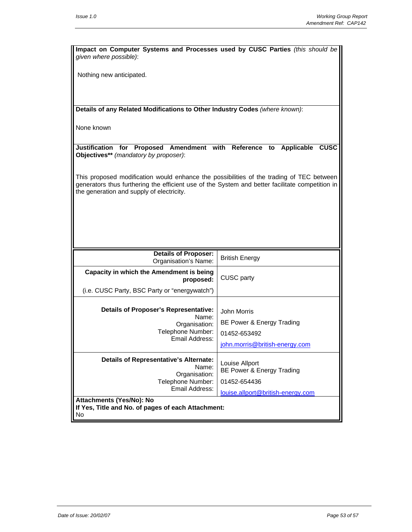| Impact on Computer Systems and Processes used by CUSC Parties (this should be<br>given where possible):                                                                                                                                  |                                             |  |  |  |
|------------------------------------------------------------------------------------------------------------------------------------------------------------------------------------------------------------------------------------------|---------------------------------------------|--|--|--|
| Nothing new anticipated.                                                                                                                                                                                                                 |                                             |  |  |  |
|                                                                                                                                                                                                                                          |                                             |  |  |  |
| Details of any Related Modifications to Other Industry Codes (where known):                                                                                                                                                              |                                             |  |  |  |
|                                                                                                                                                                                                                                          |                                             |  |  |  |
| None known                                                                                                                                                                                                                               |                                             |  |  |  |
| Justification for Proposed Amendment with Reference<br>to Applicable<br><b>CUSC</b><br>Objectives** (mandatory by proposer):                                                                                                             |                                             |  |  |  |
| This proposed modification would enhance the possibilities of the trading of TEC between<br>generators thus furthering the efficient use of the System and better facilitate competition in<br>the generation and supply of electricity. |                                             |  |  |  |
|                                                                                                                                                                                                                                          |                                             |  |  |  |
|                                                                                                                                                                                                                                          |                                             |  |  |  |
|                                                                                                                                                                                                                                          |                                             |  |  |  |
| Details of Proposer:                                                                                                                                                                                                                     | <b>British Energy</b>                       |  |  |  |
| Organisation's Name:                                                                                                                                                                                                                     |                                             |  |  |  |
| Capacity in which the Amendment is being<br>proposed:                                                                                                                                                                                    | CUSC party                                  |  |  |  |
| (i.e. CUSC Party, BSC Party or "energywatch")                                                                                                                                                                                            |                                             |  |  |  |
| <b>Details of Proposer's Representative:</b>                                                                                                                                                                                             | John Morris                                 |  |  |  |
| Name:<br>Organisation:                                                                                                                                                                                                                   | BE Power & Energy Trading                   |  |  |  |
| Telephone Number:                                                                                                                                                                                                                        | 01452-653492                                |  |  |  |
| Email Address:                                                                                                                                                                                                                           | john.morris@british-energy.com              |  |  |  |
| <b>Details of Representative's Alternate:</b><br>Name:<br>Organisation:                                                                                                                                                                  | Louise Allport<br>BE Power & Energy Trading |  |  |  |
| Telephone Number:                                                                                                                                                                                                                        | 01452-654436                                |  |  |  |
| Email Address:                                                                                                                                                                                                                           | louise.allport@british-energy.com           |  |  |  |
| Attachments (Yes/No): No<br>If Yes, Title and No. of pages of each Attachment:<br>No                                                                                                                                                     |                                             |  |  |  |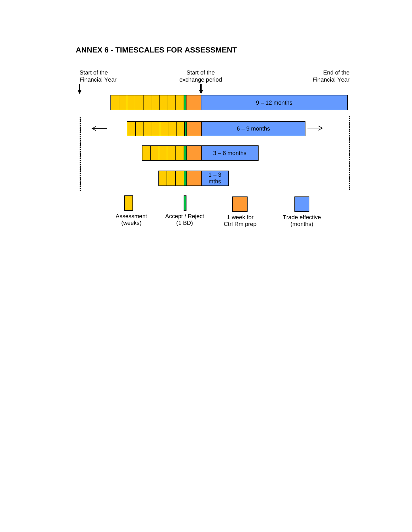# **ANNEX 6 - TIMESCALES FOR ASSESSMENT**

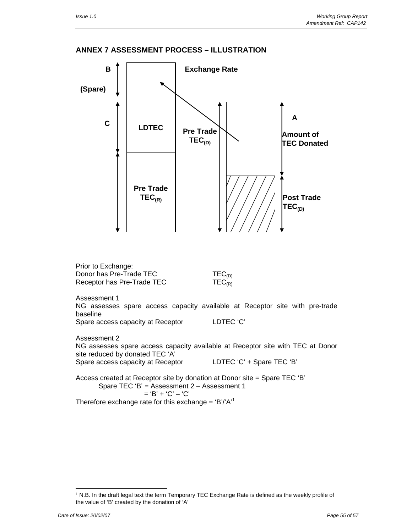#### **ANNEX 7 ASSESSMENT PROCESS – ILLUSTRATION**



l

<sup>1</sup> N.B. In the draft legal text the term Temporary TEC Exchange Rate is defined as the weekly profile of the value of 'B' created by the donation of 'A'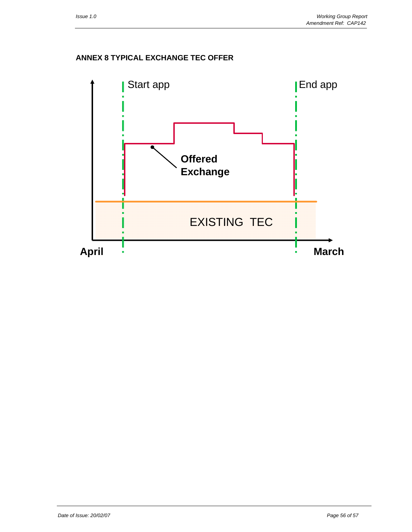### **ANNEX 8 TYPICAL EXCHANGE TEC OFFER**